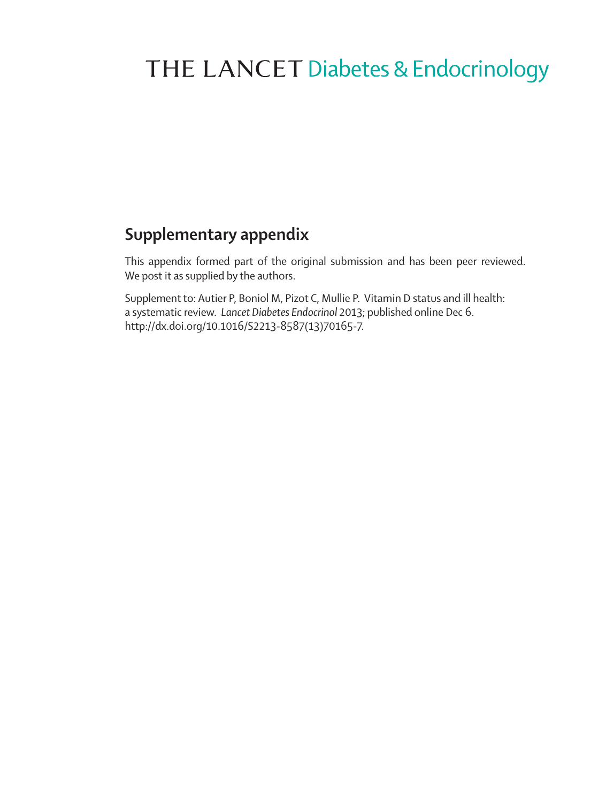# THE LANCET Diabetes & Endocrinology

# **Supplementary appendix**

This appendix formed part of the original submission and has been peer reviewed. We post it as supplied by the authors.

Supplement to: Autier P, Boniol M, Pizot C, Mullie P. Vitamin D status and ill health: a systematic review. *Lancet Diabetes Endocrinol* 2013; published online Dec 6. http://dx.doi.org/10.1016/S2213-8587(13)70165-7.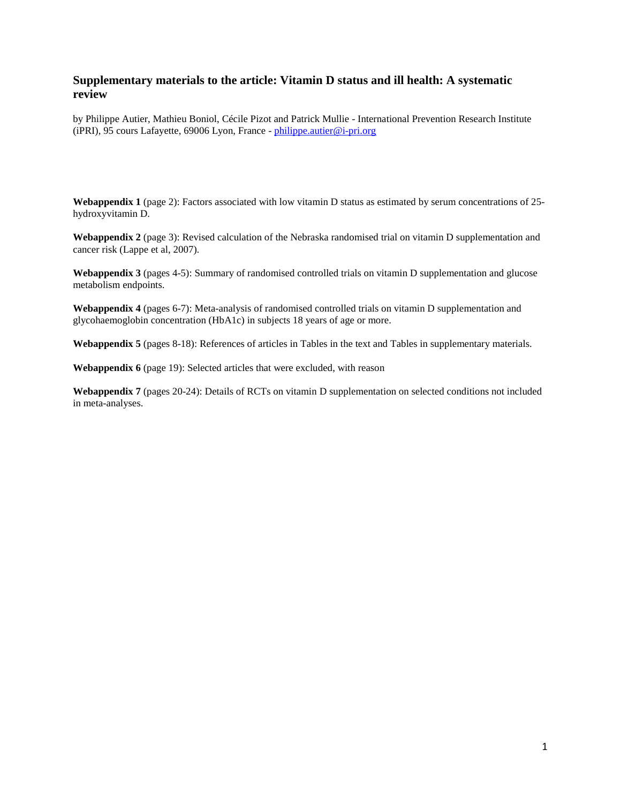# **Supplementary materials to the article: Vitamin D status and ill health: A systematic review**

by Philippe Autier, Mathieu Boniol, Cécile Pizot and Patrick Mullie - International Prevention Research Institute (iPRI), 95 cours Lafayette, 69006 Lyon, France - [philippe.autier@i-pri.org](mailto:philippe.autier@i-pri.org)

**Webappendix 1** (page 2): Factors associated with low vitamin D status as estimated by serum concentrations of 25 hydroxyvitamin D.

**Webappendix 2** (page 3): Revised calculation of the Nebraska randomised trial on vitamin D supplementation and cancer risk (Lappe et al, 2007).

**Webappendix 3** (pages 4-5): Summary of randomised controlled trials on vitamin D supplementation and glucose metabolism endpoints.

**Webappendix 4** (pages 6-7): Meta-analysis of randomised controlled trials on vitamin D supplementation and glycohaemoglobin concentration (HbA1c) in subjects 18 years of age or more.

**Webappendix 5** (pages 8-18): References of articles in Tables in the text and Tables in supplementary materials.

**Webappendix 6** (page 19): Selected articles that were excluded, with reason

**Webappendix 7** (pages 20-24): Details of RCTs on vitamin D supplementation on selected conditions not included in meta-analyses.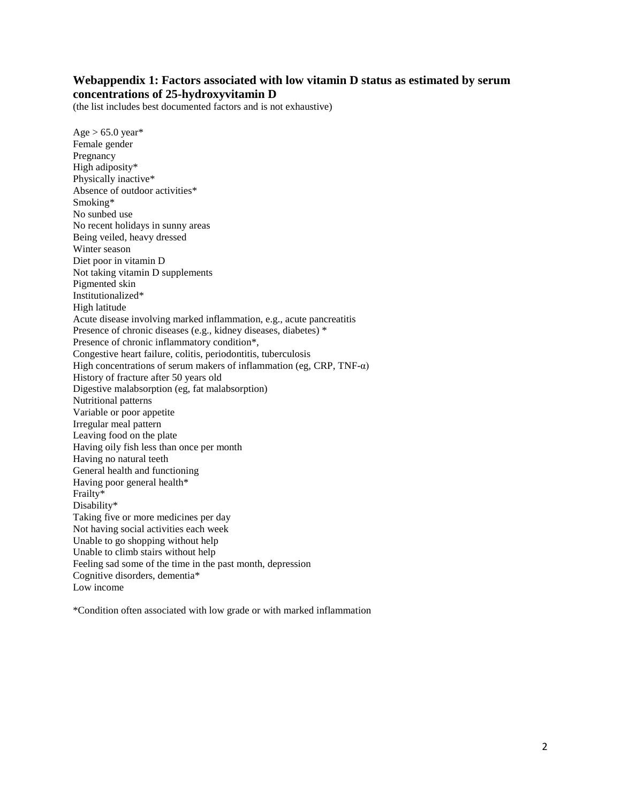# **Webappendix 1: Factors associated with low vitamin D status as estimated by serum concentrations of 25-hydroxyvitamin D**

(the list includes best documented factors and is not exhaustive)

 $Age > 65.0 \text{ year*}$ Female gender Pregnancy High adiposity\* Physically inactive\* Absence of outdoor activities\* Smoking\* No sunbed use No recent holidays in sunny areas Being veiled, heavy dressed Winter season Diet poor in vitamin D Not taking vitamin D supplements Pigmented skin Institutionalized\* High latitude Acute disease involving marked inflammation, e.g., acute pancreatitis Presence of chronic diseases (e.g., kidney diseases, diabetes) \* Presence of chronic inflammatory condition\*, Congestive heart failure, colitis, periodontitis, tuberculosis High concentrations of serum makers of inflammation (eg, CRP, TNF- $\alpha$ ) History of fracture after 50 years old Digestive malabsorption (eg, fat malabsorption) Nutritional patterns Variable or poor appetite Irregular meal pattern Leaving food on the plate Having oily fish less than once per month Having no natural teeth General health and functioning Having poor general health\* Frailty\* Disability\* Taking five or more medicines per day Not having social activities each week Unable to go shopping without help Unable to climb stairs without help Feeling sad some of the time in the past month, depression Cognitive disorders, dementia\* Low income

\*Condition often associated with low grade or with marked inflammation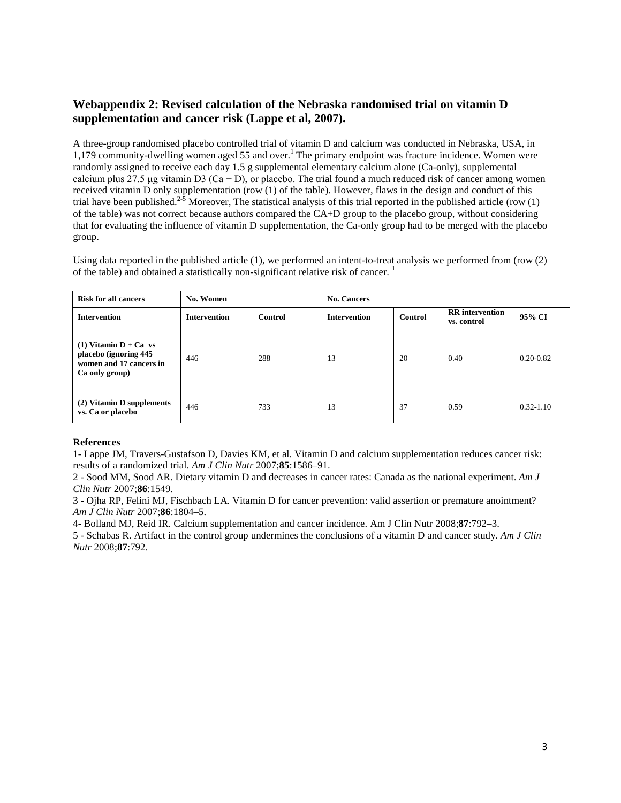# **Webappendix 2: Revised calculation of the Nebraska randomised trial on vitamin D supplementation and cancer risk (Lappe et al, 2007).**

A three-group randomised placebo controlled trial of vitamin D and calcium was conducted in Nebraska, USA, in 1,179 community-dwelling women aged 55 and over.<sup>1</sup> The primary endpoint was fracture incidence. Women were randomly assigned to receive each day 1.5 g supplemental elementary calcium alone (Ca-only), supplemental calcium plus 27.5 μg vitamin D3 (Ca + D), or placebo. The trial found a much reduced risk of cancer among women received vitamin D only supplementation (row (1) of the table). However, flaws in the design and conduct of this trial have been published.<sup>2-5</sup> Moreover, The statistical analysis of this trial reported in the published article (row  $(1)$ ) of the table) was not correct because authors compared the CA+D group to the placebo group, without considering that for evaluating the influence of vitamin D supplementation, the Ca-only group had to be merged with the placebo group.

Using data reported in the published article (1), we performed an intent-to-treat analysis we performed from (row (2) of the table) and obtained a statistically non-significant relative risk of cancer.<sup>1</sup>

| <b>Risk for all cancers</b>                                                                   | No. Women                      |     | <b>No. Cancers</b>  |         |                                       |               |
|-----------------------------------------------------------------------------------------------|--------------------------------|-----|---------------------|---------|---------------------------------------|---------------|
| <b>Intervention</b>                                                                           | <b>Intervention</b><br>Control |     | <b>Intervention</b> | Control | <b>RR</b> intervention<br>vs. control | 95% CI        |
| $(1)$ Vitamin D + Ca vs<br>placebo (ignoring 445<br>women and 17 cancers in<br>Ca only group) | 446                            | 288 | 13                  | 20      | 0.40                                  | $0.20 - 0.82$ |
| (2) Vitamin D supplements<br>vs. Ca or placebo                                                | 446                            | 733 | 13                  | 37      | 0.59                                  | $0.32 - 1.10$ |

#### **References**

1- Lappe JM, Travers-Gustafson D, Davies KM, et al. Vitamin D and calcium supplementation reduces cancer risk: results of a randomized trial. *Am J Clin Nutr* 2007;**85**:1586–91.

2 - Sood MM, Sood AR. Dietary vitamin D and decreases in cancer rates: Canada as the national experiment. *Am J Clin Nutr* 2007;**86**:1549.

3 - Ojha RP, Felini MJ, Fischbach LA. Vitamin D for cancer prevention: valid assertion or premature anointment? *Am J Clin Nutr* 2007;**86**:1804–5.

4- Bolland MJ, Reid IR. Calcium supplementation and cancer incidence. Am J Clin Nutr 2008;**87**:792–3.

5 - Schabas R. Artifact in the control group undermines the conclusions of a vitamin D and cancer study. *Am J Clin Nutr* 2008;**87**:792.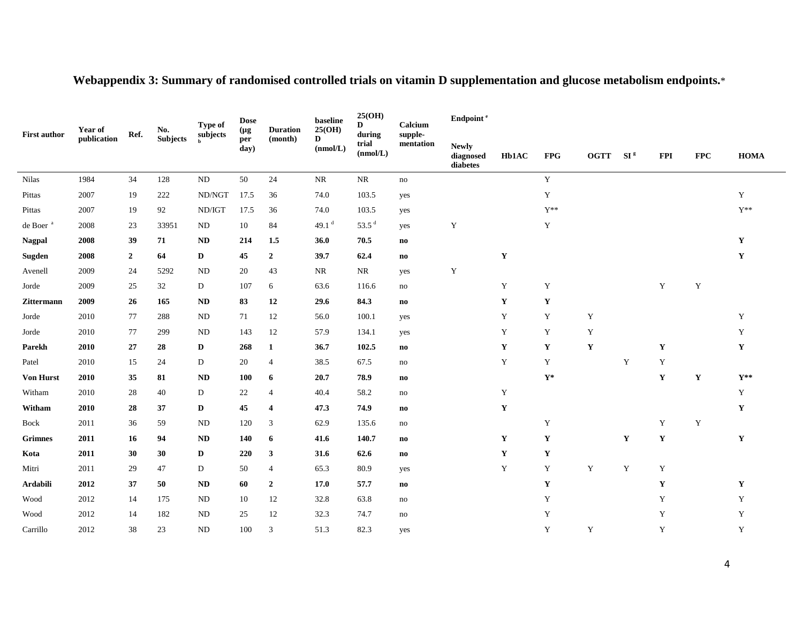| <b>Year of</b>       |             |                | No.             | Ref.                     |             | Type of                 | Dose<br>(µg   | <b>Duration</b>                                     | baseline<br>25(OH)     | 25(OH)<br>D                           | Calcium      | Endpoint <sup>e</sup> |             |                 |             |             |                 |  |  |
|----------------------|-------------|----------------|-----------------|--------------------------|-------------|-------------------------|---------------|-----------------------------------------------------|------------------------|---------------------------------------|--------------|-----------------------|-------------|-----------------|-------------|-------------|-----------------|--|--|
| <b>First author</b>  | publication |                | <b>Subjects</b> | subjects<br>$\mathbf{h}$ | per<br>day) | (month)                 | D<br>(nmol/L) | during<br>supple-<br>trial<br>mentation<br>(nmol/L) |                        | <b>Newly</b><br>diagnosed<br>diabetes | <b>Hb1AC</b> | <b>FPG</b>            | <b>OGTT</b> | SI <sup>g</sup> | <b>FPI</b>  | <b>FPC</b>  | <b>HOMA</b>     |  |  |
| <b>Nilas</b>         | 1984        | 34             | 128             | $\rm ND$                 | 50          | 24                      | NR            | $\rm NR$                                            | no                     |                                       |              | $\mathbf Y$           |             |                 |             |             |                 |  |  |
| Pittas               | 2007        | 19             | 222             | ND/NGT                   | 17.5        | 36                      | 74.0          | 103.5                                               | yes                    |                                       |              | $\mathbf Y$           |             |                 |             |             | $\mathbf Y$     |  |  |
| Pittas               | 2007        | 19             | 92              | ND/IGT                   | 17.5        | 36                      | 74.0          | 103.5                                               | yes                    |                                       |              | $Y^{**}$              |             |                 |             |             | ${\cal Y}^{**}$ |  |  |
| de Boer <sup>a</sup> | 2008        | 23             | 33951           | ND                       | 10          | 84                      | 49.1 $d$      | 53.5 $d$                                            | yes                    | $\mathbf Y$                           |              | Y                     |             |                 |             |             |                 |  |  |
| <b>Nagpal</b>        | 2008        | 39             | 71              | <b>ND</b>                | 214         | 1.5                     | 36.0          | 70.5                                                | $\mathbf{n}\mathbf{o}$ |                                       |              |                       |             |                 |             |             | $\mathbf Y$     |  |  |
| Sugden               | 2008        | $\overline{2}$ | 64              | D                        | 45          | $\overline{2}$          | 39.7          | 62.4                                                | $\mathbf{n}\mathbf{o}$ |                                       | $\mathbf Y$  |                       |             |                 |             |             | $\mathbf Y$     |  |  |
| Avenell              | 2009        | 24             | 5292            | <b>ND</b>                | 20          | 43                      | NR            | <b>NR</b>                                           | yes                    | $\mathbf Y$                           |              |                       |             |                 |             |             |                 |  |  |
| Jorde                | 2009        | 25             | 32              | D                        | 107         | 6                       | 63.6          | 116.6                                               | no                     |                                       | Y            | $\mathbf Y$           |             |                 | Y           | $\mathbf Y$ |                 |  |  |
| Zittermann           | 2009        | 26             | 165             | <b>ND</b>                | 83          | 12                      | 29.6          | 84.3                                                | $\mathbf{n}\mathbf{o}$ |                                       | $\mathbf Y$  | $\mathbf Y$           |             |                 |             |             |                 |  |  |
| Jorde                | 2010        | 77             | 288             | ND                       | 71          | 12                      | 56.0          | 100.1                                               | yes                    |                                       | Y            | Y                     | Y           |                 |             |             | $\mathbf Y$     |  |  |
| Jorde                | 2010        | 77             | 299             | ND                       | 143         | 12                      | 57.9          | 134.1                                               | yes                    |                                       | $\mathbf Y$  | Y                     | Y           |                 |             |             | Y               |  |  |
| Parekh               | 2010        | 27             | 28              | D                        | 268         | $\mathbf{1}$            | 36.7          | 102.5                                               | $\mathbf{n}\mathbf{o}$ |                                       | $\mathbf Y$  | Y                     | Y           |                 | Y           |             | $\mathbf Y$     |  |  |
| Patel                | 2010        | 15             | 24              | D                        | 20          | 4                       | 38.5          | 67.5                                                | no                     |                                       | $\mathbf Y$  | Y                     |             | Y               | Y           |             |                 |  |  |
| <b>Von Hurst</b>     | 2010        | 35             | 81              | <b>ND</b>                | <b>100</b>  | 6                       | 20.7          | 78.9                                                | $\mathbf{n}\mathbf{o}$ |                                       |              | $\mathbf{Y}^*$        |             |                 | Y           | $\mathbf Y$ | $Y^{**}$        |  |  |
| Witham               | 2010        | 28             | 40              | D                        | 22          | 4                       | 40.4          | 58.2                                                | no                     |                                       | $\mathbf Y$  |                       |             |                 |             |             | Y               |  |  |
| Witham               | 2010        | 28             | 37              | D                        | 45          | $\overline{\mathbf{4}}$ | 47.3          | 74.9                                                | $\mathbf{n}\mathbf{o}$ |                                       | $\mathbf Y$  |                       |             |                 |             |             | $\mathbf Y$     |  |  |
| Bock                 | 2011        | 36             | 59              | <b>ND</b>                | 120         | 3                       | 62.9          | 135.6                                               | no                     |                                       |              | Y                     |             |                 | Y           | $\mathbf Y$ |                 |  |  |
| <b>Grimnes</b>       | 2011        | 16             | 94              | <b>ND</b>                | 140         | 6                       | 41.6          | 140.7                                               | no                     |                                       | $\mathbf Y$  | Y                     |             | $\mathbf Y$     | $\mathbf Y$ |             | $\mathbf Y$     |  |  |
| Kota                 | 2011        | 30             | 30              | D                        | 220         | 3                       | 31.6          | 62.6                                                | $\mathbf{n}\mathbf{o}$ |                                       | $\mathbf Y$  | Y                     |             |                 |             |             |                 |  |  |
| Mitri                | 2011        | 29             | 47              | D                        | 50          | 4                       | 65.3          | 80.9                                                | yes                    |                                       | Y            | Y                     | $\mathbf Y$ | Y               | $\mathbf Y$ |             |                 |  |  |
| Ardabili             | 2012        | 37             | 50              | <b>ND</b>                | 60          | $\boldsymbol{2}$        | 17.0          | 57.7                                                | no                     |                                       |              | $\mathbf Y$           |             |                 | Y           |             | $\mathbf Y$     |  |  |
| Wood                 | 2012        | 14             | 175             | <b>ND</b>                | 10          | 12                      | 32.8          | 63.8                                                | no                     |                                       |              | Y                     |             |                 | Y           |             | Y               |  |  |
| Wood                 | 2012        | 14             | 182             | ND                       | 25          | 12                      | 32.3          | 74.7                                                | no                     |                                       |              | Y                     |             |                 | Y           |             | $\mathbf Y$     |  |  |
| Carrillo             | 2012        | 38             | 23              | ND                       | 100         | 3                       | 51.3          | 82.3                                                | yes                    |                                       |              | Y                     | Y           |                 | Y           |             | $\mathbf Y$     |  |  |

# **Webappendix 3: Summary of randomised controlled trials on vitamin D supplementation and glucose metabolism endpoints.**\*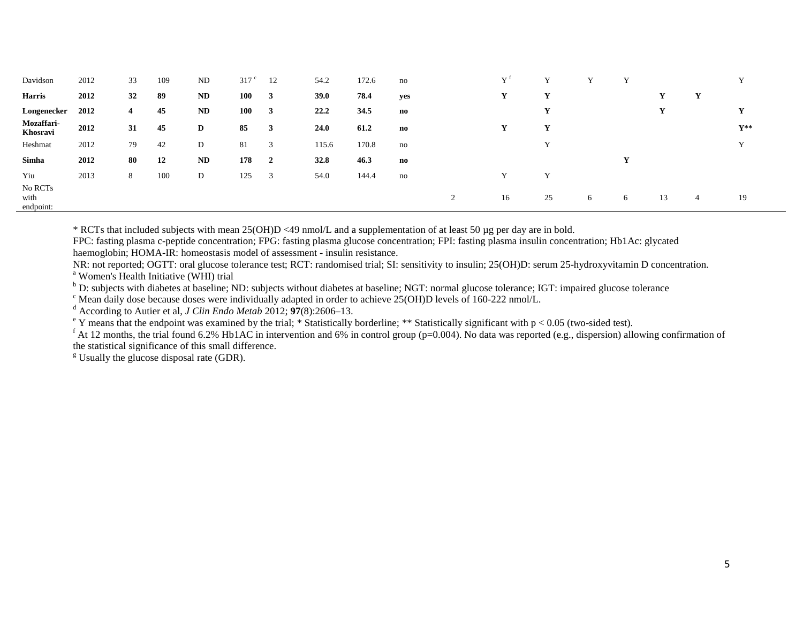| Davidson                     | 2012 | 33 | 109 | ND | 317 <sup>c</sup> | 12             | 54.2        | 172.6 | no                     |   | $\mathbf{v}$ f | $\mathbf{v}$ |   |   |    |   | $\mathbf{v}$   |
|------------------------------|------|----|-----|----|------------------|----------------|-------------|-------|------------------------|---|----------------|--------------|---|---|----|---|----------------|
| <b>Harris</b>                | 2012 | 32 | 89  | ND | 100              | 3              | <b>39.0</b> | 78.4  | yes                    |   |                |              |   |   |    | Y |                |
| Longenecker                  | 2012 | 4  | 45  | ND | 100              | 3              | 22.2        | 34.5  | $\mathbf{n}\mathbf{o}$ |   |                |              |   |   |    |   |                |
| Mozaffari-<br>Khosravi       | 2012 | 31 | 45  | D  | 85               | 3              | 24.0        | 61.2  | no                     |   |                | $\mathbf{v}$ |   |   |    |   | $Y^{\ast\ast}$ |
| Heshmat                      | 2012 | 79 | 42  | D  | 81               | 3              | 115.6       | 170.8 | no                     |   |                | $\mathbf{v}$ |   |   |    |   | $\mathbf{v}$   |
| Simha                        | 2012 | 80 | 12  | ND | 178              | $\overline{2}$ | 32.8        | 46.3  | no                     |   |                |              |   | Y |    |   |                |
| Yiu                          | 2013 | 8  | 100 | D  | 125              | 3              | 54.0        | 144.4 | no                     |   |                | $\mathbf v$  |   |   |    |   |                |
| No RCTs<br>with<br>endpoint: |      |    |     |    |                  |                |             |       |                        | 2 | 16             | 25           | 6 | 6 | 13 | 4 | 19             |

\* RCTs that included subjects with mean 25(OH)D <49 nmol/L and a supplementation of at least 50 µg per day are in bold.

FPC: fasting plasma c-peptide concentration; FPG: fasting plasma glucose concentration; FPI: fasting plasma insulin concentration; Hb1Ac: glycated haemoglobin; HOMA-IR: homeostasis model of assessment - insulin resistance.

NR: not reported; OGTT: oral glucose tolerance test; RCT: randomised trial; SI: sensitivity to insulin; 25(OH)D: serum 25-hydroxyvitamin D concentration.<br>
<sup>a</sup> Women's Health Initiative (WHI) trial<br>
<sup>b</sup> D: subjects with dia

<sup>c</sup> Mean daily dose because doses were individually adapted in order to achieve 25(OH)D levels of 160-222 nmol/L.<br><sup>d</sup> According to Autier et al, *J Clin Endo Metab* 2012; 97(8):2606–13.<br><sup>e</sup> Y means that the endpoint was e the statistical significance of this small difference.

 $g$  Usually the glucose disposal rate (GDR).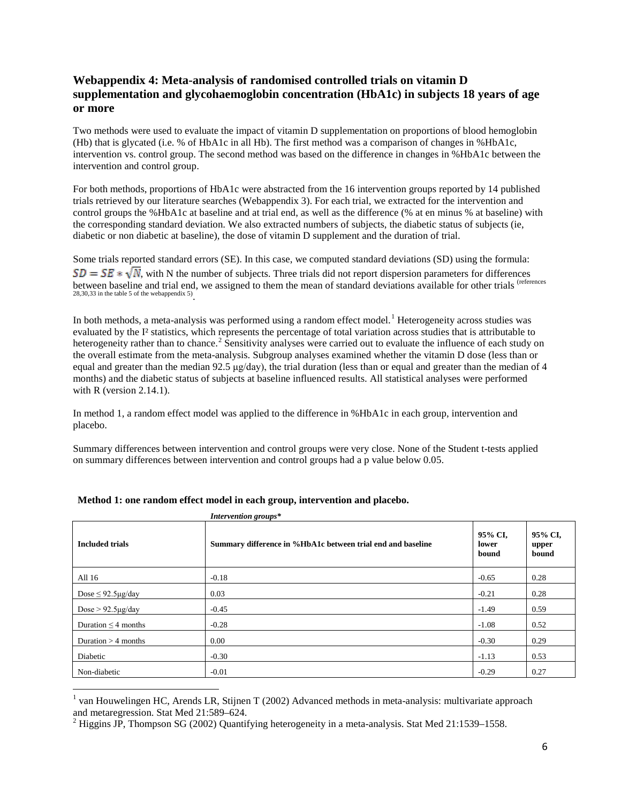# **Webappendix 4: Meta-analysis of randomised controlled trials on vitamin D supplementation and glycohaemoglobin concentration (HbA1c) in subjects 18 years of age or more**

Two methods were used to evaluate the impact of vitamin D supplementation on proportions of blood hemoglobin (Hb) that is glycated (i.e. % of HbA1c in all Hb). The first method was a comparison of changes in %HbA1c, intervention vs. control group. The second method was based on the difference in changes in %HbA1c between the intervention and control group.

For both methods, proportions of HbA1c were abstracted from the 16 intervention groups reported by 14 published trials retrieved by our literature searches (Webappendix 3). For each trial, we extracted for the intervention and control groups the %HbA1c at baseline and at trial end, as well as the difference (% at en minus % at baseline) with the corresponding standard deviation. We also extracted numbers of subjects, the diabetic status of subjects (ie, diabetic or non diabetic at baseline), the dose of vitamin D supplement and the duration of trial.

Some trials reported standard errors (SE). In this case, we computed standard deviations (SD) using the formula:  $SD = SE * \sqrt{N}$ , with N the number of subjects. Three trials did not report dispersion parameters for differences between baseline and trial end, we assigned to them the mean of standard deviations available for other trials (references 28,30,33 in the table 5 of the webappendix 5).

In both methods, a meta-analysis was performed using a random effect model.<sup>[1](#page-6-0)</sup> Heterogeneity across studies was evaluated by the I² statistics, which represents the percentage of total variation across studies that is attributable to heterogeneity rather than to chance.<sup>[2](#page-6-1)</sup> Sensitivity analyses were carried out to evaluate the influence of each study on the overall estimate from the meta-analysis. Subgroup analyses examined whether the vitamin D dose (less than or equal and greater than the median  $92.5 \mu g/day$ , the trial duration (less than or equal and greater than the median of 4 months) and the diabetic status of subjects at baseline influenced results. All statistical analyses were performed with R (version  $2.14.1$ ).

In method 1, a random effect model was applied to the difference in %HbA1c in each group, intervention and placebo.

Summary differences between intervention and control groups were very close. None of the Student t-tests applied on summary differences between intervention and control groups had a p value below 0.05.

| <b>Included trials</b>   | Summary difference in %HbA1c between trial end and baseline | 95% CI,<br>lower<br>bound | 95% CI,<br>upper<br>bound |
|--------------------------|-------------------------------------------------------------|---------------------------|---------------------------|
| All 16                   | $-0.18$                                                     | $-0.65$                   | 0.28                      |
| Dose $\leq$ 92.5µg/day   | 0.03                                                        | $-0.21$                   | 0.28                      |
| Dose $> 92.5 \mu g/day$  | $-0.45$                                                     | $-1.49$                   | 0.59                      |
| Duration $\leq$ 4 months | $-0.28$                                                     | $-1.08$                   | 0.52                      |
| Duration $>$ 4 months    | 0.00                                                        | $-0.30$                   | 0.29                      |
| Diabetic                 | $-0.30$                                                     | $-1.13$                   | 0.53                      |
| Non-diabetic             | $-0.01$                                                     | $-0.29$                   | 0.27                      |

<span id="page-6-0"></span><sup>&</sup>lt;sup>1</sup> van Houwelingen HC, Arends LR, Stijnen T (2002) Advanced methods in meta-analysis: multivariate approach and metaregression. Stat Med 21:589–624.

<span id="page-6-1"></span><sup>&</sup>lt;sup>2</sup> Higgins JP, Thompson SG (2002) Quantifying heterogeneity in a meta-analysis. Stat Med 21:1539–1558.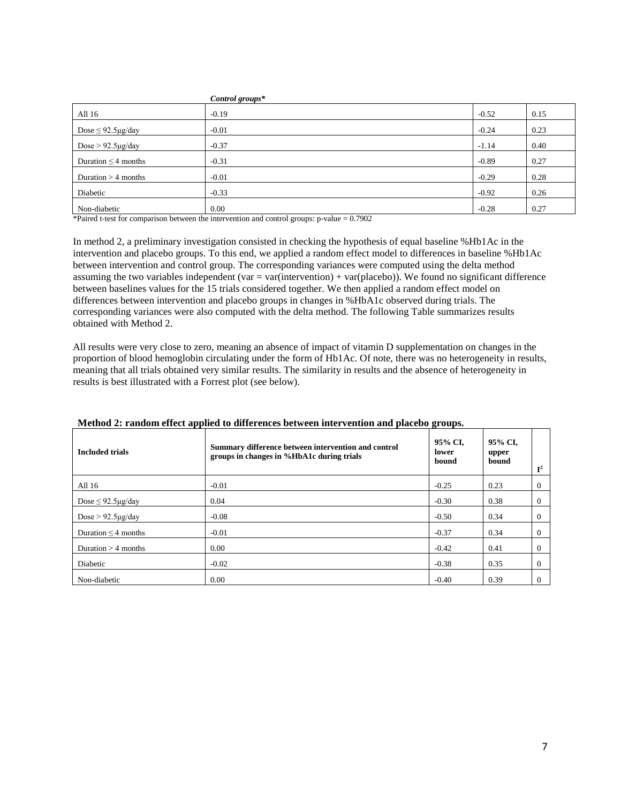|                              | Control groups* |         |      |
|------------------------------|-----------------|---------|------|
| All 16                       | $-0.19$         | $-0.52$ | 0.15 |
| Dose $\leq$ 92.5 $\mu$ g/day | $-0.01$         | $-0.24$ | 0.23 |
| Dose $> 92.5 \mu g/day$      | $-0.37$         | $-1.14$ | 0.40 |
| Duration $\leq$ 4 months     | $-0.31$         | $-0.89$ | 0.27 |
| Duration $>$ 4 months        | $-0.01$         | $-0.29$ | 0.28 |
| Diabetic                     | $-0.33$         | $-0.92$ | 0.26 |
| Non-diabetic                 | 0.00            | $-0.28$ | 0.27 |

\*Paired t-test for comparison between the intervention and control groups: p-value = 0.7902

In method 2, a preliminary investigation consisted in checking the hypothesis of equal baseline %Hb1Ac in the intervention and placebo groups. To this end, we applied a random effect model to differences in baseline %Hb1Ac between intervention and control group. The corresponding variances were computed using the delta method assuming the two variables independent (var  $=$  var(intervention) + var(placebo)). We found no significant difference between baselines values for the 15 trials considered together. We then applied a random effect model on differences between intervention and placebo groups in changes in %HbA1c observed during trials. The corresponding variances were also computed with the delta method. The following Table summarizes results obtained with Method 2.

All results were very close to zero, meaning an absence of impact of vitamin D supplementation on changes in the proportion of blood hemoglobin circulating under the form of Hb1Ac. Of note, there was no heterogeneity in results, meaning that all trials obtained very similar results. The similarity in results and the absence of heterogeneity in results is best illustrated with a Forrest plot (see below).

| <b>Included trials</b>   | Summary difference between intervention and control<br>groups in changes in %HbA1c during trials | 95% CI.<br>lower<br>bound | 95% CI,<br>upper<br>bound | $\mathbf{r}^2$ |
|--------------------------|--------------------------------------------------------------------------------------------------|---------------------------|---------------------------|----------------|
| All 16                   | $-0.01$                                                                                          | $-0.25$                   | 0.23                      | 0              |
| Dose $\leq$ 92.5 ug/day  | 0.04                                                                                             | $-0.30$                   | 0.38                      |                |
| Dose $> 92.5 \mu g/day$  | $-0.08$                                                                                          | $-0.50$                   | 0.34                      | 0              |
| Duration $\leq$ 4 months | $-0.01$                                                                                          | $-0.37$                   | 0.34                      | 0              |
| Duration $>$ 4 months    | 0.00                                                                                             | $-0.42$                   | 0.41                      | 0              |
| Diabetic                 | $-0.02$                                                                                          | $-0.38$                   | 0.35                      |                |
| Non-diabetic             | 0.00                                                                                             | $-0.40$                   | 0.39                      |                |

#### **Method 2: random effect applied to differences between intervention and placebo groups.**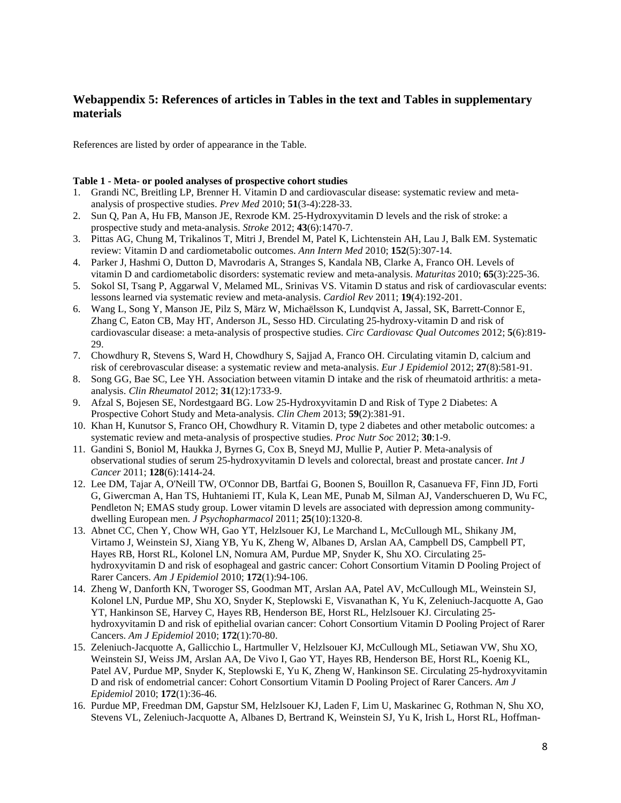# **Webappendix 5: References of articles in Tables in the text and Tables in supplementary materials**

References are listed by order of appearance in the Table.

### **Table 1 - Meta- or pooled analyses of prospective cohort studies**

- 1. Grandi NC, Breitling LP, Brenner H. Vitamin D and cardiovascular disease: systematic review and metaanalysis of prospective studies. *Prev Med* 2010; **51**(3-4):228-33.
- 2. Sun Q, Pan A, Hu FB, Manson JE, Rexrode KM. 25-Hydroxyvitamin D levels and the risk of stroke: a prospective study and meta-analysis. *Stroke* 2012; **43**(6):1470-7.
- 3. Pittas AG, Chung M, Trikalinos T, Mitri J, Brendel M, Patel K, Lichtenstein AH, Lau J, Balk EM. Systematic review: Vitamin D and cardiometabolic outcomes. *Ann Intern Med* 2010; **152**(5):307-14.
- 4. Parker J, Hashmi O, Dutton D, Mavrodaris A, Stranges S, Kandala NB, Clarke A, Franco OH. Levels of vitamin D and cardiometabolic disorders: systematic review and meta-analysis. *Maturitas* 2010; **65**(3):225-36.
- 5. Sokol SI, Tsang P, Aggarwal V, Melamed ML, Srinivas VS. Vitamin D status and risk of cardiovascular events: lessons learned via systematic review and meta-analysis. *Cardiol Rev* 2011; **19**(4):192-201.
- 6. Wang L, Song Y, Manson JE, Pilz S, März W, Michaëlsson K, Lundqvist A, Jassal, SK, Barrett-Connor E, Zhang C, Eaton CB, May HT, Anderson JL, Sesso HD. Circulating 25-hydroxy-vitamin D and risk of cardiovascular disease: a meta-analysis of prospective studies. *Circ Cardiovasc Qual Outcomes* 2012; **5**(6):819- 29.
- 7. Chowdhury R, Stevens S, Ward H, Chowdhury S, Sajjad A, Franco OH. Circulating vitamin D, calcium and risk of cerebrovascular disease: a systematic review and meta-analysis. *Eur J Epidemiol* 2012; **27**(8):581-91.
- 8. Song GG, Bae SC, Lee YH. Association between vitamin D intake and the risk of rheumatoid arthritis: a metaanalysis. *Clin Rheumatol* 2012; **31**(12):1733-9.
- 9. Afzal S, Bojesen SE, Nordestgaard BG. Low 25-Hydroxyvitamin D and Risk of Type 2 Diabetes: A Prospective Cohort Study and Meta-analysis. *Clin Chem* 2013; **59**(2):381-91.
- 10. Khan H, Kunutsor S, Franco OH, Chowdhury R. Vitamin D, type 2 diabetes and other metabolic outcomes: a systematic review and meta-analysis of prospective studies. *Proc Nutr Soc* 2012; **30**:1-9.
- 11. Gandini S, Boniol M, Haukka J, Byrnes G, Cox B, Sneyd MJ, Mullie P, Autier P. Meta-analysis of observational studies of serum 25-hydroxyvitamin D levels and colorectal, breast and prostate cancer. *Int J Cancer* 2011; **128**(6):1414-24.
- 12. Lee DM, Tajar A, O'Neill TW, O'Connor DB, Bartfai G, Boonen S, Bouillon R, Casanueva FF, Finn JD, Forti G, Giwercman A, Han TS, Huhtaniemi IT, Kula K, Lean ME, Punab M, Silman AJ, Vanderschueren D, Wu FC, Pendleton N; EMAS study group. Lower vitamin D levels are associated with depression among communitydwelling European men. *J Psychopharmacol* 2011; **25**(10):1320-8.
- 13. Abnet CC, Chen Y, Chow WH, Gao YT, Helzlsouer KJ, Le Marchand L, McCullough ML, Shikany JM, Virtamo J, Weinstein SJ, Xiang YB, Yu K, Zheng W, Albanes D, Arslan AA, Campbell DS, Campbell PT, Hayes RB, Horst RL, Kolonel LN, Nomura AM, Purdue MP, Snyder K, Shu XO. Circulating 25 hydroxyvitamin D and risk of esophageal and gastric cancer: Cohort Consortium Vitamin D Pooling Project of Rarer Cancers. *Am J Epidemiol* 2010; **172**(1):94-106.
- 14. Zheng W, Danforth KN, Tworoger SS, Goodman MT, Arslan AA, Patel AV, McCullough ML, Weinstein SJ, Kolonel LN, Purdue MP, Shu XO, Snyder K, Steplowski E, Visvanathan K, Yu K, Zeleniuch-Jacquotte A, Gao YT, Hankinson SE, Harvey C, Hayes RB, Henderson BE, Horst RL, Helzlsouer KJ. Circulating 25 hydroxyvitamin D and risk of epithelial ovarian cancer: Cohort Consortium Vitamin D Pooling Project of Rarer Cancers. *Am J Epidemiol* 2010; **172**(1):70-80.
- 15. Zeleniuch-Jacquotte A, Gallicchio L, Hartmuller V, Helzlsouer KJ, McCullough ML, Setiawan VW, Shu XO, Weinstein SJ, Weiss JM, Arslan AA, De Vivo I, Gao YT, Hayes RB, Henderson BE, Horst RL, Koenig KL, Patel AV, Purdue MP, Snyder K, Steplowski E, Yu K, Zheng W, Hankinson SE. Circulating 25-hydroxyvitamin D and risk of endometrial cancer: Cohort Consortium Vitamin D Pooling Project of Rarer Cancers. *Am J Epidemiol* 2010; **172**(1):36-46.
- 16. Purdue MP, Freedman DM, Gapstur SM, Helzlsouer KJ, Laden F, Lim U, Maskarinec G, Rothman N, Shu XO, Stevens VL, Zeleniuch-Jacquotte A, Albanes D, Bertrand K, Weinstein SJ, Yu K, Irish L, Horst RL, Hoffman-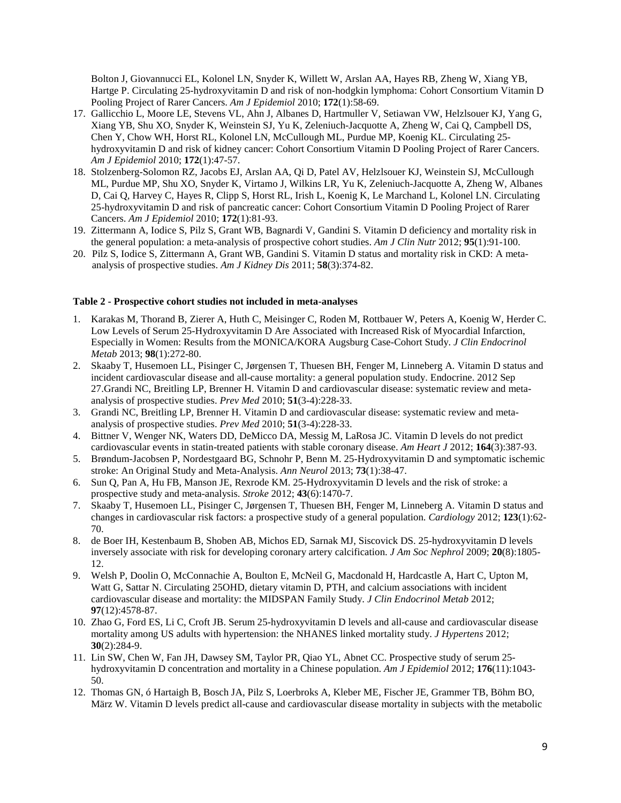Bolton J, Giovannucci EL, Kolonel LN, Snyder K, Willett W, Arslan AA, Hayes RB, Zheng W, Xiang YB, Hartge P. Circulating 25-hydroxyvitamin D and risk of non-hodgkin lymphoma: Cohort Consortium Vitamin D Pooling Project of Rarer Cancers. *Am J Epidemiol* 2010; **172**(1):58-69.

- 17. Gallicchio L, Moore LE, Stevens VL, Ahn J, Albanes D, Hartmuller V, Setiawan VW, Helzlsouer KJ, Yang G, Xiang YB, Shu XO, Snyder K, Weinstein SJ, Yu K, Zeleniuch-Jacquotte A, Zheng W, Cai Q, Campbell DS, Chen Y, Chow WH, Horst RL, Kolonel LN, McCullough ML, Purdue MP, Koenig KL. Circulating 25 hydroxyvitamin D and risk of kidney cancer: Cohort Consortium Vitamin D Pooling Project of Rarer Cancers. *Am J Epidemiol* 2010; **172**(1):47-57.
- 18. Stolzenberg-Solomon RZ, Jacobs EJ, Arslan AA, Qi D, Patel AV, Helzlsouer KJ, Weinstein SJ, McCullough ML, Purdue MP, Shu XO, Snyder K, Virtamo J, Wilkins LR, Yu K, Zeleniuch-Jacquotte A, Zheng W, Albanes D, Cai Q, Harvey C, Hayes R, Clipp S, Horst RL, Irish L, Koenig K, Le Marchand L, Kolonel LN. Circulating 25-hydroxyvitamin D and risk of pancreatic cancer: Cohort Consortium Vitamin D Pooling Project of Rarer Cancers. *Am J Epidemiol* 2010; **172**(1):81-93.
- 19. Zittermann A, Iodice S, Pilz S, Grant WB, Bagnardi V, Gandini S. Vitamin D deficiency and mortality risk in the general population: a meta-analysis of prospective cohort studies. *Am J Clin Nutr* 2012; **95**(1):91-100.
- 20. Pilz S, Iodice S, Zittermann A, Grant WB, Gandini S. Vitamin D status and mortality risk in CKD: A metaanalysis of prospective studies. *Am J Kidney Dis* 2011; **58**(3):374-82.

#### **Table 2 - Prospective cohort studies not included in meta-analyses**

- 1. Karakas M, Thorand B, Zierer A, Huth C, Meisinger C, Roden M, Rottbauer W, Peters A, Koenig W, Herder C. Low Levels of Serum 25-Hydroxyvitamin D Are Associated with Increased Risk of Myocardial Infarction, Especially in Women: Results from the MONICA/KORA Augsburg Case-Cohort Study. *J Clin Endocrinol Metab* 2013; **98**(1):272-80.
- 2. Skaaby T, Husemoen LL, Pisinger C, Jørgensen T, Thuesen BH, Fenger M, Linneberg A. Vitamin D status and incident cardiovascular disease and all-cause mortality: a general population study. Endocrine. 2012 Sep 27.Grandi NC, Breitling LP, Brenner H. Vitamin D and cardiovascular disease: systematic review and metaanalysis of prospective studies. *Prev Med* 2010; **51**(3-4):228-33.
- 3. Grandi NC, Breitling LP, Brenner H. Vitamin D and cardiovascular disease: systematic review and metaanalysis of prospective studies. *Prev Med* 2010; **51**(3-4):228-33.
- 4. Bittner V, Wenger NK, Waters DD, DeMicco DA, Messig M, LaRosa JC. Vitamin D levels do not predict cardiovascular events in statin-treated patients with stable coronary disease. *Am Heart J* 2012; **164**(3):387-93.
- 5. Brøndum-Jacobsen P, Nordestgaard BG, Schnohr P, Benn M. 25-Hydroxyvitamin D and symptomatic ischemic stroke: An Original Study and Meta-Analysis. *Ann Neurol* 2013; **73**(1):38-47.
- 6. Sun Q, Pan A, Hu FB, Manson JE, Rexrode KM. 25-Hydroxyvitamin D levels and the risk of stroke: a prospective study and meta-analysis. *Stroke* 2012; **43**(6):1470-7.
- 7. Skaaby T, Husemoen LL, Pisinger C, Jørgensen T, Thuesen BH, Fenger M, Linneberg A. Vitamin D status and changes in cardiovascular risk factors: a prospective study of a general population. *Cardiology* 2012; **123**(1):62- 70.
- 8. de Boer IH, Kestenbaum B, Shoben AB, Michos ED, Sarnak MJ, Siscovick DS. 25-hydroxyvitamin D levels inversely associate with risk for developing coronary artery calcification. *J Am Soc Nephrol* 2009; **20**(8):1805- 12.
- 9. Welsh P, Doolin O, McConnachie A, Boulton E, McNeil G, Macdonald H, Hardcastle A, Hart C, Upton M, Watt G, Sattar N. Circulating 25OHD, dietary vitamin D, PTH, and calcium associations with incident cardiovascular disease and mortality: the MIDSPAN Family Study. *J Clin Endocrinol Metab* 2012; **97**(12):4578-87.
- 10. Zhao G, Ford ES, Li C, Croft JB. Serum 25-hydroxyvitamin D levels and all-cause and cardiovascular disease mortality among US adults with hypertension: the NHANES linked mortality study. *J Hypertens* 2012; **30**(2):284-9.
- 11. Lin SW, Chen W, Fan JH, Dawsey SM, Taylor PR, Qiao YL, Abnet CC. Prospective study of serum 25 hydroxyvitamin D concentration and mortality in a Chinese population. *Am J Epidemiol* 2012; **176**(11):1043- 50.
- 12. Thomas GN, ó Hartaigh B, Bosch JA, Pilz S, Loerbroks A, Kleber ME, Fischer JE, Grammer TB, Böhm BO, März W. Vitamin D levels predict all-cause and cardiovascular disease mortality in subjects with the metabolic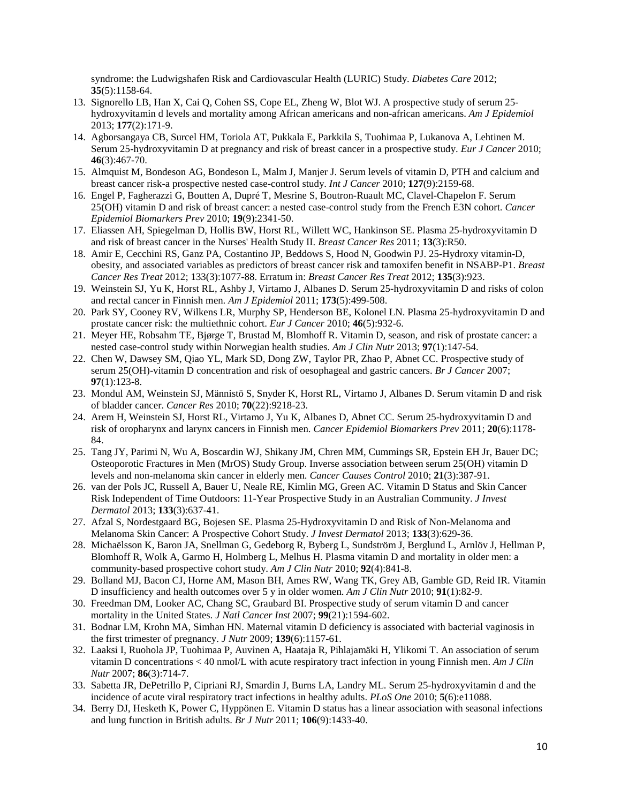syndrome: the Ludwigshafen Risk and Cardiovascular Health (LURIC) Study. *Diabetes Care* 2012; **35**(5):1158-64.

- 13. Signorello LB, Han X, Cai Q, Cohen SS, Cope EL, Zheng W, Blot WJ. A prospective study of serum 25 hydroxyvitamin d levels and mortality among African americans and non-african americans. *Am J Epidemiol* 2013; **177**(2):171-9.
- 14. Agborsangaya CB, Surcel HM, Toriola AT, Pukkala E, Parkkila S, Tuohimaa P, Lukanova A, Lehtinen M. Serum 25-hydroxyvitamin D at pregnancy and risk of breast cancer in a prospective study. *Eur J Cancer* 2010; **46**(3):467-70.
- 15. Almquist M, Bondeson AG, Bondeson L, Malm J, Manjer J. Serum levels of vitamin D, PTH and calcium and breast cancer risk-a prospective nested case-control study. *Int J Cancer* 2010; **127**(9):2159-68.
- 16. Engel P, Fagherazzi G, Boutten A, Dupré T, Mesrine S, Boutron-Ruault MC, Clavel-Chapelon F. Serum 25(OH) vitamin D and risk of breast cancer: a nested case-control study from the French E3N cohort. *Cancer Epidemiol Biomarkers Prev* 2010; **19**(9):2341-50.
- 17. Eliassen AH, Spiegelman D, Hollis BW, Horst RL, Willett WC, Hankinson SE. Plasma 25-hydroxyvitamin D and risk of breast cancer in the Nurses' Health Study II. *Breast Cancer Res* 2011; **13**(3):R50.
- 18. Amir E, Cecchini RS, Ganz PA, Costantino JP, Beddows S, Hood N, Goodwin PJ. 25-Hydroxy vitamin-D, obesity, and associated variables as predictors of breast cancer risk and tamoxifen benefit in NSABP-P1. *Breast Cancer Res Treat* 2012; 133(3):1077-88. Erratum in: *Breast Cancer Res Treat* 2012; **135**(3):923.
- 19. Weinstein SJ, Yu K, Horst RL, Ashby J, Virtamo J, Albanes D. Serum 25-hydroxyvitamin D and risks of colon and rectal cancer in Finnish men. *Am J Epidemiol* 2011; **173**(5):499-508.
- 20. Park SY, Cooney RV, Wilkens LR, Murphy SP, Henderson BE, Kolonel LN. Plasma 25-hydroxyvitamin D and prostate cancer risk: the multiethnic cohort. *Eur J Cancer* 2010; **46**(5):932-6.
- 21. Meyer HE, Robsahm TE, Bjørge T, Brustad M, Blomhoff R. Vitamin D, season, and risk of prostate cancer: a nested case-control study within Norwegian health studies. *Am J Clin Nutr* 2013; **97**(1):147-54.
- 22. Chen W, Dawsey SM, Qiao YL, Mark SD, Dong ZW, Taylor PR, Zhao P, Abnet CC. Prospective study of serum 25(OH)-vitamin D concentration and risk of oesophageal and gastric cancers. *Br J Cancer* 2007; **97**(1):123-8.
- 23. Mondul AM, Weinstein SJ, Männistö S, Snyder K, Horst RL, Virtamo J, Albanes D. Serum vitamin D and risk of bladder cancer. *Cancer Res* 2010; **70**(22):9218-23.
- 24. Arem H, Weinstein SJ, Horst RL, Virtamo J, Yu K, Albanes D, Abnet CC. Serum 25-hydroxyvitamin D and risk of oropharynx and larynx cancers in Finnish men. *Cancer Epidemiol Biomarkers Prev* 2011; **20**(6):1178- 84.
- 25. Tang JY, Parimi N, Wu A, Boscardin WJ, Shikany JM, Chren MM, Cummings SR, Epstein EH Jr, Bauer DC; Osteoporotic Fractures in Men (MrOS) Study Group. Inverse association between serum 25(OH) vitamin D levels and non-melanoma skin cancer in elderly men. *Cancer Causes Control* 2010; **21**(3):387-91.
- 26. van der Pols JC, Russell A, Bauer U, Neale RE, Kimlin MG, Green AC. Vitamin D Status and Skin Cancer Risk Independent of Time Outdoors: 11-Year Prospective Study in an Australian Community. *J Invest Dermatol* 2013; **133**(3):637-41.
- 27. Afzal S, Nordestgaard BG, Bojesen SE. Plasma 25-Hydroxyvitamin D and Risk of Non-Melanoma and Melanoma Skin Cancer: A Prospective Cohort Study. *J Invest Dermatol* 2013; **133**(3):629-36.
- 28. Michaëlsson K, Baron JA, Snellman G, Gedeborg R, Byberg L, Sundström J, Berglund L, Arnlöv J, Hellman P, Blomhoff R, Wolk A, Garmo H, Holmberg L, Melhus H. Plasma vitamin D and mortality in older men: a community-based prospective cohort study. *Am J Clin Nutr* 2010; **92**(4):841-8.
- 29. Bolland MJ, Bacon CJ, Horne AM, Mason BH, Ames RW, Wang TK, Grey AB, Gamble GD, Reid IR. Vitamin D insufficiency and health outcomes over 5 y in older women. *Am J Clin Nutr* 2010; **91**(1):82-9.
- 30. Freedman DM, Looker AC, Chang SC, Graubard BI. Prospective study of serum vitamin D and cancer mortality in the United States. *J Natl Cancer Inst* 2007; **99**(21):1594-602.
- 31. Bodnar LM, Krohn MA, Simhan HN. Maternal vitamin D deficiency is associated with bacterial vaginosis in the first trimester of pregnancy. *J Nutr* 2009; **139**(6):1157-61.
- 32. Laaksi I, Ruohola JP, Tuohimaa P, Auvinen A, Haataja R, Pihlajamäki H, Ylikomi T. An association of serum vitamin D concentrations < 40 nmol/L with acute respiratory tract infection in young Finnish men. *Am J Clin Nutr* 2007; **86**(3):714-7.
- 33. Sabetta JR, DePetrillo P, Cipriani RJ, Smardin J, Burns LA, Landry ML. Serum 25-hydroxyvitamin d and the incidence of acute viral respiratory tract infections in healthy adults. *PLoS One* 2010; **5**(6):e11088.
- 34. Berry DJ, Hesketh K, Power C, Hyppönen E. Vitamin D status has a linear association with seasonal infections and lung function in British adults. *Br J Nutr* 2011; **106**(9):1433-40.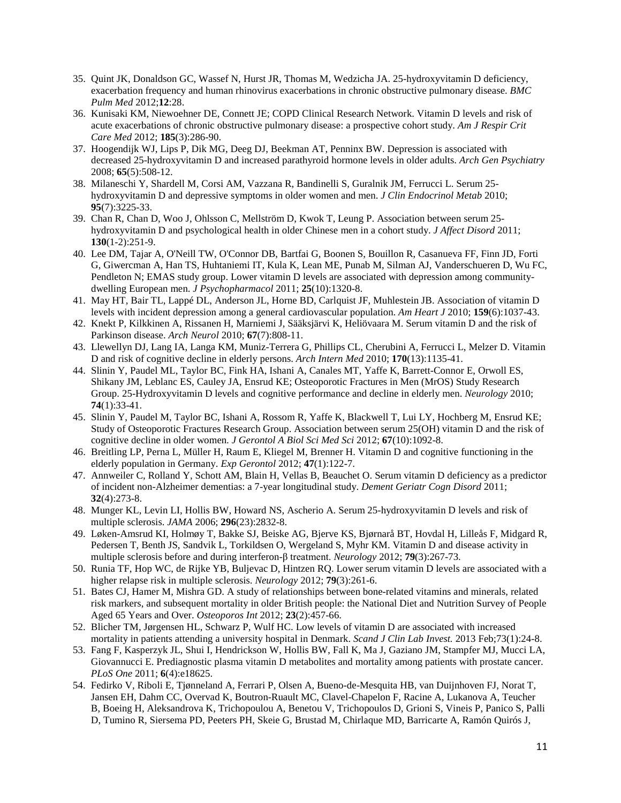- 35. Quint JK, Donaldson GC, Wassef N, Hurst JR, Thomas M, Wedzicha JA. 25-hydroxyvitamin D deficiency, exacerbation frequency and human rhinovirus exacerbations in chronic obstructive pulmonary disease. *BMC Pulm Med* 2012;**12**:28.
- 36. Kunisaki KM, Niewoehner DE, Connett JE; COPD Clinical Research Network. Vitamin D levels and risk of acute exacerbations of chronic obstructive pulmonary disease: a prospective cohort study. *Am J Respir Crit Care Med* 2012; **185**(3):286-90.
- 37. Hoogendijk WJ, Lips P, Dik MG, Deeg DJ, Beekman AT, Penninx BW. Depression is associated with decreased 25-hydroxyvitamin D and increased parathyroid hormone levels in older adults. *Arch Gen Psychiatry* 2008; **65**(5):508-12.
- 38. Milaneschi Y, Shardell M, Corsi AM, Vazzana R, Bandinelli S, Guralnik JM, Ferrucci L. Serum 25 hydroxyvitamin D and depressive symptoms in older women and men. *J Clin Endocrinol Metab* 2010; **95**(7):3225-33.
- 39. Chan R, Chan D, Woo J, Ohlsson C, Mellström D, Kwok T, Leung P. Association between serum 25 hydroxyvitamin D and psychological health in older Chinese men in a cohort study. *J Affect Disord* 2011; **130**(1-2):251-9.
- 40. Lee DM, Tajar A, O'Neill TW, O'Connor DB, Bartfai G, Boonen S, Bouillon R, Casanueva FF, Finn JD, Forti G, Giwercman A, Han TS, Huhtaniemi IT, Kula K, Lean ME, Punab M, Silman AJ, Vanderschueren D, Wu FC, Pendleton N; EMAS study group. Lower vitamin D levels are associated with depression among communitydwelling European men. *J Psychopharmacol* 2011; **25**(10):1320-8.
- 41. May HT, Bair TL, Lappé DL, Anderson JL, Horne BD, Carlquist JF, Muhlestein JB. Association of vitamin D levels with incident depression among a general cardiovascular population. *Am Heart J* 2010; **159**(6):1037-43.
- 42. Knekt P, Kilkkinen A, Rissanen H, Marniemi J, Sääksjärvi K, Heliövaara M. Serum vitamin D and the risk of Parkinson disease. *Arch Neurol* 2010; **67**(7):808-11.
- 43. Llewellyn DJ, Lang IA, Langa KM, Muniz-Terrera G, Phillips CL, Cherubini A, Ferrucci L, Melzer D. Vitamin D and risk of cognitive decline in elderly persons. *Arch Intern Med* 2010; **170**(13):1135-41.
- 44. Slinin Y, Paudel ML, Taylor BC, Fink HA, Ishani A, Canales MT, Yaffe K, Barrett-Connor E, Orwoll ES, Shikany JM, Leblanc ES, Cauley JA, Ensrud KE; Osteoporotic Fractures in Men (MrOS) Study Research Group. 25-Hydroxyvitamin D levels and cognitive performance and decline in elderly men. *Neurology* 2010; **74**(1):33-41.
- 45. Slinin Y, Paudel M, Taylor BC, Ishani A, Rossom R, Yaffe K, Blackwell T, Lui LY, Hochberg M, Ensrud KE; Study of Osteoporotic Fractures Research Group. Association between serum 25(OH) vitamin D and the risk of cognitive decline in older women. *J Gerontol A Biol Sci Med Sci* 2012; **67**(10):1092-8.
- 46. Breitling LP, Perna L, Müller H, Raum E, Kliegel M, Brenner H. Vitamin D and cognitive functioning in the elderly population in Germany. *Exp Gerontol* 2012; **47**(1):122-7.
- 47. Annweiler C, Rolland Y, Schott AM, Blain H, Vellas B, Beauchet O. Serum vitamin D deficiency as a predictor of incident non-Alzheimer dementias: a 7-year longitudinal study. *Dement Geriatr Cogn Disord* 2011; **32**(4):273-8.
- 48. Munger KL, Levin LI, Hollis BW, Howard NS, Ascherio A. Serum 25-hydroxyvitamin D levels and risk of multiple sclerosis. *JAMA* 2006; **296**(23):2832-8.
- 49. Løken-Amsrud KI, Holmøy T, Bakke SJ, Beiske AG, Bjerve KS, Bjørnarå BT, Hovdal H, Lilleås F, Midgard R, Pedersen T, Benth JS, Sandvik L, Torkildsen O, Wergeland S, Myhr KM. Vitamin D and disease activity in multiple sclerosis before and during interferon-β treatment. *Neurology* 2012; **79**(3):267-73.
- 50. Runia TF, Hop WC, de Rijke YB, Buljevac D, Hintzen RQ. Lower serum vitamin D levels are associated with a higher relapse risk in multiple sclerosis. *Neurology* 2012; **79**(3):261-6.
- 51. Bates CJ, Hamer M, Mishra GD. A study of relationships between bone-related vitamins and minerals, related risk markers, and subsequent mortality in older British people: the National Diet and Nutrition Survey of People Aged 65 Years and Over. *Osteoporos Int* 2012; **23**(2):457-66.
- 52. Blicher TM, Jørgensen HL, Schwarz P, Wulf HC. Low levels of vitamin D are associated with increased mortality in patients attending a university hospital in Denmark. *Scand J Clin Lab Invest.* 2013 Feb;73(1):24-8.
- 53. Fang F, Kasperzyk JL, Shui I, Hendrickson W, Hollis BW, Fall K, Ma J, Gaziano JM, Stampfer MJ, Mucci LA, Giovannucci E. Prediagnostic plasma vitamin D metabolites and mortality among patients with prostate cancer. *PLoS One* 2011; **6**(4):e18625.
- 54. Fedirko V, Riboli E, Tjønneland A, Ferrari P, Olsen A, Bueno-de-Mesquita HB, van Duijnhoven FJ, Norat T, Jansen EH, Dahm CC, Overvad K, Boutron-Ruault MC, Clavel-Chapelon F, Racine A, Lukanova A, Teucher B, Boeing H, Aleksandrova K, Trichopoulou A, Benetou V, Trichopoulos D, Grioni S, Vineis P, Panico S, Palli D, Tumino R, Siersema PD, Peeters PH, Skeie G, Brustad M, Chirlaque MD, Barricarte A, Ramón Quirós J,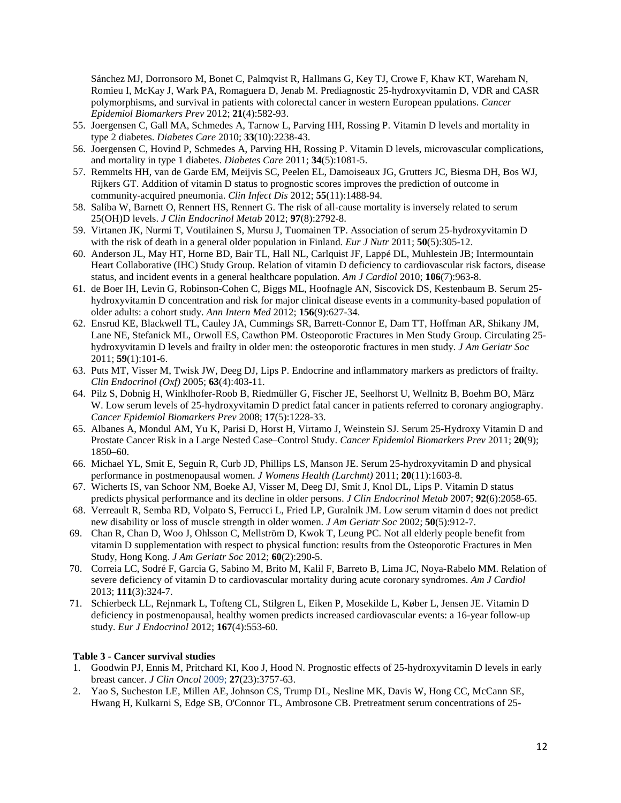Sánchez MJ, Dorronsoro M, Bonet C, Palmqvist R, Hallmans G, Key TJ, Crowe F, Khaw KT, Wareham N, Romieu I, McKay J, Wark PA, Romaguera D, Jenab M. Prediagnostic 25-hydroxyvitamin D, VDR and CASR polymorphisms, and survival in patients with colorectal cancer in western European ppulations. *Cancer Epidemiol Biomarkers Prev* 2012; **21**(4):582-93.

- 55. Joergensen C, Gall MA, Schmedes A, Tarnow L, Parving HH, Rossing P. Vitamin D levels and mortality in type 2 diabetes. *Diabetes Care* 2010; **33**(10):2238-43.
- 56. Joergensen C, Hovind P, Schmedes A, Parving HH, Rossing P. Vitamin D levels, microvascular complications, and mortality in type 1 diabetes. *Diabetes Care* 2011; **34**(5):1081-5.
- 57. Remmelts HH, van de Garde EM, Meijvis SC, Peelen EL, Damoiseaux JG, Grutters JC, Biesma DH, Bos WJ, Rijkers GT. Addition of vitamin D status to prognostic scores improves the prediction of outcome in community-acquired pneumonia. *Clin Infect Dis* 2012; **55**(11):1488-94.
- 58. Saliba W, Barnett O, Rennert HS, Rennert G. The risk of all-cause mortality is inversely related to serum 25(OH)D levels. *J Clin Endocrinol Metab* 2012; **97**(8):2792-8.
- 59. Virtanen JK, Nurmi T, Voutilainen S, Mursu J, Tuomainen TP. Association of serum 25-hydroxyvitamin D with the risk of death in a general older population in Finland*. Eur J Nutr* 2011; **50**(5):305-12.
- 60. Anderson JL, May HT, Horne BD, Bair TL, Hall NL, Carlquist JF, Lappé DL, Muhlestein JB; Intermountain Heart Collaborative (IHC) Study Group. Relation of vitamin D deficiency to cardiovascular risk factors, disease status, and incident events in a general healthcare population*. Am J Cardiol* 2010; **106**(7):963-8.
- 61. de Boer IH, Levin G, Robinson-Cohen C, Biggs ML, Hoofnagle AN, Siscovick DS, Kestenbaum B. Serum 25 hydroxyvitamin D concentration and risk for major clinical disease events in a community-based population of older adults: a cohort study. *Ann Intern Med* 2012; **156**(9):627-34.
- 62. Ensrud KE, Blackwell TL, Cauley JA, Cummings SR, Barrett-Connor E, Dam TT, Hoffman AR, Shikany JM, Lane NE, Stefanick ML, Orwoll ES, Cawthon PM. Osteoporotic Fractures in Men Study Group. Circulating 25 hydroxyvitamin D levels and frailty in older men: the osteoporotic fractures in men study. *J Am Geriatr Soc* 2011; **59**(1):101-6.
- 63. Puts MT, Visser M, Twisk JW, Deeg DJ, Lips P. Endocrine and inflammatory markers as predictors of frailty. *Clin Endocrinol (Oxf)* 2005; **63**(4):403-11.
- 64. Pilz S, Dobnig H, Winklhofer-Roob B, Riedmüller G, Fischer JE, Seelhorst U, Wellnitz B, Boehm BO, März W. Low serum levels of 25-hydroxyvitamin D predict fatal cancer in patients referred to coronary angiography. *Cancer Epidemiol Biomarkers Prev* 2008; **17**(5):1228-33.
- 65. Albanes A, Mondul AM, Yu K, Parisi D, Horst H, Virtamo J, Weinstein SJ. Serum 25-Hydroxy Vitamin D and Prostate Cancer Risk in a Large Nested Case–Control Study. *Cancer Epidemiol Biomarkers Prev* 2011; **20**(9); 1850–60.
- 66. Michael YL, Smit E, Seguin R, Curb JD, Phillips LS, Manson JE. Serum 25-hydroxyvitamin D and physical performance in postmenopausal women. *J Womens Health (Larchmt)* 2011; **20**(11):1603-8.
- 67. Wicherts IS, van Schoor NM, Boeke AJ, Visser M, Deeg DJ, Smit J, Knol DL, Lips P. Vitamin D status predicts physical performance and its decline in older persons. *J Clin Endocrinol Metab* 2007; **92**(6):2058-65.
- 68. Verreault R, Semba RD, Volpato S, Ferrucci L, Fried LP, Guralnik JM. Low serum vitamin d does not predict new disability or loss of muscle strength in older women. *J Am Geriatr Soc* 2002; **50**(5):912-7.
- 69. Chan R, Chan D, Woo J, Ohlsson C, Mellström D, Kwok T, Leung PC. Not all elderly people benefit from vitamin D supplementation with respect to physical function: results from the Osteoporotic Fractures in Men Study, Hong Kong. *J Am Geriatr Soc* 2012; **60**(2):290-5.
- 70. Correia LC, Sodré F, Garcia G, Sabino M, Brito M, Kalil F, Barreto B, Lima JC, Noya-Rabelo MM. Relation of severe deficiency of vitamin D to cardiovascular mortality during acute coronary syndromes. *Am J Cardiol* 2013; **111**(3):324-7.
- 71. Schierbeck LL, Rejnmark L, Tofteng CL, Stilgren L, Eiken P, Mosekilde L, Køber L, Jensen JE. Vitamin D deficiency in postmenopausal, healthy women predicts increased cardiovascular events: a 16-year follow-up study. *Eur J Endocrinol* 2012; **167**(4):553-60.

#### **Table 3 - Cancer survival studies**

- 1. Goodwin PJ, Ennis M, Pritchard KI, Koo J, Hood N. Prognostic effects of 25-hydroxyvitamin D levels in early breast cancer. *J Clin Oncol* 2009; **27**(23):3757-63.
- 2. Yao S, Sucheston LE, Millen AE, Johnson CS, Trump DL, Nesline MK, Davis W, Hong CC, McCann SE, Hwang H, Kulkarni S, Edge SB, O'Connor TL, Ambrosone CB. Pretreatment serum concentrations of 25-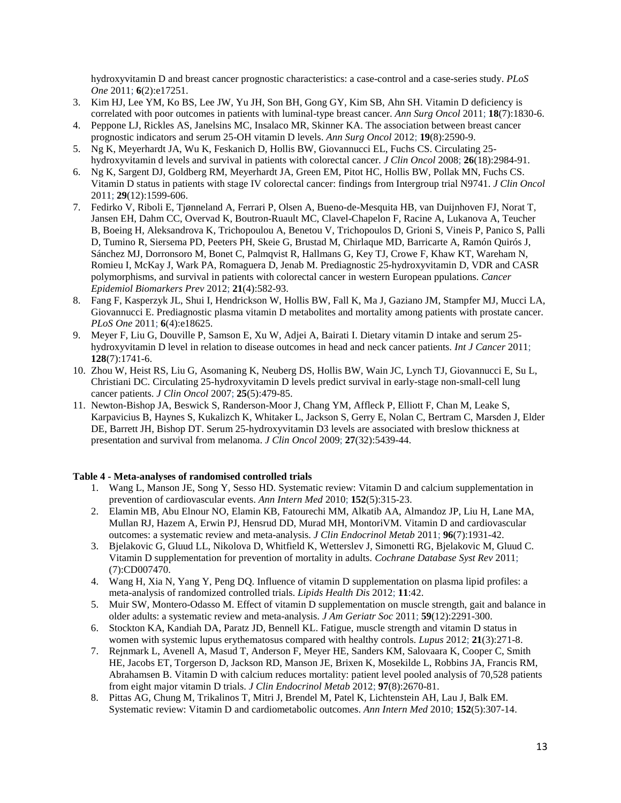hydroxyvitamin D and breast cancer prognostic characteristics: a case-control and a case-series study. *PLoS One* 2011; **6**(2):e17251.

- 3. Kim HJ, Lee YM, Ko BS, Lee JW, Yu JH, Son BH, Gong GY, Kim SB, Ahn SH. Vitamin D deficiency is correlated with poor outcomes in patients with luminal-type breast cancer. *Ann Surg Oncol* 2011; **18**(7):1830-6.
- 4. Peppone LJ, Rickles AS, Janelsins MC, Insalaco MR, Skinner KA. The association between breast cancer prognostic indicators and serum 25-OH vitamin D levels. *Ann Surg Oncol* 2012; **19**(8):2590-9.
- 5. Ng K, Meyerhardt JA, Wu K, Feskanich D, Hollis BW, Giovannucci EL, Fuchs CS. Circulating 25 hydroxyvitamin d levels and survival in patients with colorectal cancer. *J Clin Oncol* 2008; **26**(18):2984-91.
- 6. Ng K, Sargent DJ, Goldberg RM, Meyerhardt JA, Green EM, Pitot HC, Hollis BW, Pollak MN, Fuchs CS. Vitamin D status in patients with stage IV colorectal cancer: findings from Intergroup trial N9741. *J Clin Oncol* 2011; **29**(12):1599-606.
- 7. Fedirko V, Riboli E, Tjønneland A, Ferrari P, Olsen A, Bueno-de-Mesquita HB, van Duijnhoven FJ, Norat T, Jansen EH, Dahm CC, Overvad K, Boutron-Ruault MC, Clavel-Chapelon F, Racine A, Lukanova A, Teucher B, Boeing H, Aleksandrova K, Trichopoulou A, Benetou V, Trichopoulos D, Grioni S, Vineis P, Panico S, Palli D, Tumino R, Siersema PD, Peeters PH, Skeie G, Brustad M, Chirlaque MD, Barricarte A, Ramón Quirós J, Sánchez MJ, Dorronsoro M, Bonet C, Palmqvist R, Hallmans G, Key TJ, Crowe F, Khaw KT, Wareham N, Romieu I, McKay J, Wark PA, Romaguera D, Jenab M. Prediagnostic 25-hydroxyvitamin D, VDR and CASR polymorphisms, and survival in patients with colorectal cancer in western European ppulations. *Cancer Epidemiol Biomarkers Prev* 2012; **21**(4):582-93.
- 8. Fang F, Kasperzyk JL, Shui I, Hendrickson W, Hollis BW, Fall K, Ma J, Gaziano JM, Stampfer MJ, Mucci LA, Giovannucci E. Prediagnostic plasma vitamin D metabolites and mortality among patients with prostate cancer. *PLoS One* 2011; **6**(4):e18625.
- 9. Meyer F, Liu G, Douville P, Samson E, Xu W, Adjei A, Bairati I. Dietary vitamin D intake and serum 25 hydroxyvitamin D level in relation to disease outcomes in head and neck cancer patients. *Int J Cancer* 2011; **128**(7):1741-6.
- 10. Zhou W, Heist RS, Liu G, Asomaning K, Neuberg DS, Hollis BW, Wain JC, Lynch TJ, Giovannucci E, Su L, Christiani DC. Circulating 25-hydroxyvitamin D levels predict survival in early-stage non-small-cell lung cancer patients. *J Clin Oncol* 2007; **25**(5):479-85.
- 11. Newton-Bishop JA, Beswick S, Randerson-Moor J, Chang YM, Affleck P, Elliott F, Chan M, Leake S, Karpavicius B, Haynes S, Kukalizch K, Whitaker L, Jackson S, Gerry E, Nolan C, Bertram C, Marsden J, Elder DE, Barrett JH, Bishop DT. Serum 25-hydroxyvitamin D3 levels are associated with breslow thickness at presentation and survival from melanoma. *J Clin Oncol* 2009; **27**(32):5439-44.

## **Table 4 - Meta-analyses of randomised controlled trials**

- 1. Wang L, Manson JE, Song Y, Sesso HD. Systematic review: Vitamin D and calcium supplementation in prevention of cardiovascular events. *Ann Intern Med* 2010; **152**(5):315-23.
- 2. Elamin MB, Abu Elnour NO, Elamin KB, Fatourechi MM, Alkatib AA, Almandoz JP, Liu H, Lane MA, Mullan RJ, Hazem A, Erwin PJ, Hensrud DD, Murad MH, MontoriVM. Vitamin D and cardiovascular outcomes: a systematic review and meta-analysis. *J Clin Endocrinol Metab* 2011; **96**(7):1931-42.
- 3. Bjelakovic G, Gluud LL, Nikolova D, Whitfield K, Wetterslev J, Simonetti RG, Bjelakovic M, Gluud C. Vitamin D supplementation for prevention of mortality in adults. *Cochrane Database Syst Rev* 2011; (7):CD007470.
- 4. Wang H, Xia N, Yang Y, Peng DQ. Influence of vitamin D supplementation on plasma lipid profiles: a meta-analysis of randomized controlled trials. *Lipids Health Dis* 2012; **11**:42.
- 5. Muir SW, Montero-Odasso M. Effect of vitamin D supplementation on muscle strength, gait and balance in older adults: a systematic review and meta-analysis. *J Am Geriatr Soc* 2011; **59**(12):2291-300.
- 6. Stockton KA, Kandiah DA, Paratz JD, Bennell KL. Fatigue, muscle strength and vitamin D status in women with systemic lupus erythematosus compared with healthy controls. *Lupus* 2012; **21**(3):271-8.
- 7. Rejnmark L, Avenell A, Masud T, Anderson F, Meyer HE, Sanders KM, Salovaara K, Cooper C, Smith HE, Jacobs ET, Torgerson D, Jackson RD, Manson JE, Brixen K, Mosekilde L, Robbins JA, Francis RM, Abrahamsen B. Vitamin D with calcium reduces mortality: patient level pooled analysis of 70,528 patients from eight major vitamin D trials. *J Clin Endocrinol Metab* 2012; **97**(8):2670-81.
- 8. Pittas AG, Chung M, Trikalinos T, Mitri J, Brendel M, Patel K, Lichtenstein AH, Lau J, Balk EM. Systematic review: Vitamin D and cardiometabolic outcomes. *Ann Intern Med* 2010; **152**(5):307-14.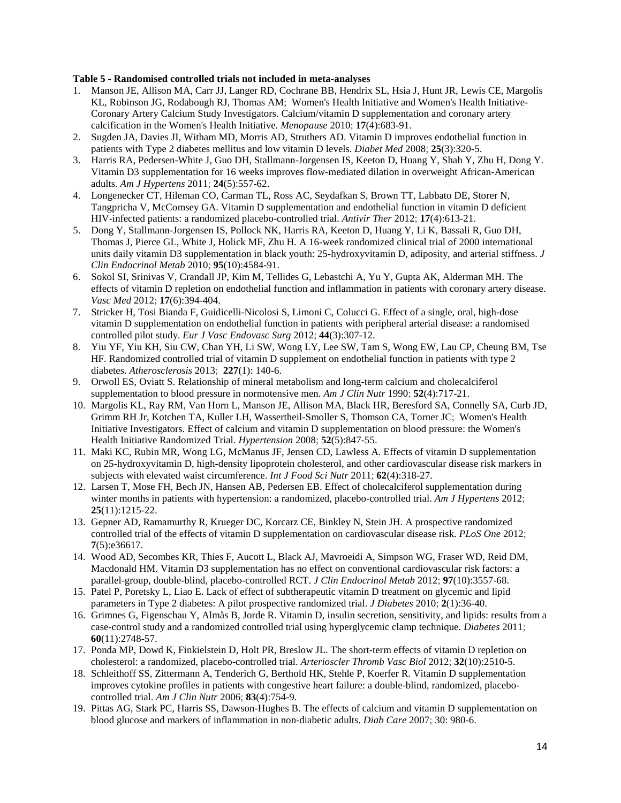#### **Table 5 - Randomised controlled trials not included in meta-analyses**

- 1. Manson JE, Allison MA, Carr JJ, Langer RD, Cochrane BB, Hendrix SL, Hsia J, Hunt JR, Lewis CE, Margolis KL, Robinson JG, Rodabough RJ, Thomas AM; Women's Health Initiative and Women's Health Initiative-Coronary Artery Calcium Study Investigators. Calcium/vitamin D supplementation and coronary artery calcification in the Women's Health Initiative. *Menopause* 2010; **17**(4):683-91.
- 2. Sugden JA, Davies JI, Witham MD, Morris AD, Struthers AD. Vitamin D improves endothelial function in patients with Type 2 diabetes mellitus and low vitamin D levels. *Diabet Med* 2008; **25**(3):320-5.
- 3. Harris RA, Pedersen-White J, Guo DH, Stallmann-Jorgensen IS, Keeton D, Huang Y, Shah Y, Zhu H, Dong Y. Vitamin D3 supplementation for 16 weeks improves flow-mediated dilation in overweight African-American adults. *Am J Hypertens* 2011; **24**(5):557-62.
- 4. Longenecker CT, Hileman CO, Carman TL, Ross AC, Seydafkan S, Brown TT, Labbato DE, Storer N, Tangpricha V, McComsey GA. Vitamin D supplementation and endothelial function in vitamin D deficient HIV-infected patients: a randomized placebo-controlled trial. *Antivir Ther* 2012; **17**(4):613-21.
- 5. Dong Y, Stallmann-Jorgensen IS, Pollock NK, Harris RA, Keeton D, Huang Y, Li K, Bassali R, Guo DH, Thomas J, Pierce GL, White J, Holick MF, Zhu H. A 16-week randomized clinical trial of 2000 international units daily vitamin D3 supplementation in black youth: 25-hydroxyvitamin D, adiposity, and arterial stiffness. *J Clin Endocrinol Metab* 2010; **95**(10):4584-91.
- 6. Sokol SI, Srinivas V, Crandall JP, Kim M, Tellides G, Lebastchi A, Yu Y, Gupta AK, Alderman MH. The effects of vitamin D repletion on endothelial function and inflammation in patients with coronary artery disease. *Vasc Med* 2012; **17**(6):394-404.
- 7. Stricker H, Tosi Bianda F, Guidicelli-Nicolosi S, Limoni C, Colucci G. Effect of a single, oral, high-dose vitamin D supplementation on endothelial function in patients with peripheral arterial disease: a randomised controlled pilot study. *Eur J Vasc Endovasc Surg* 2012; **44**(3):307-12.
- 8. Yiu YF, Yiu KH, Siu CW, Chan YH, Li SW, Wong LY, Lee SW, Tam S, Wong EW, Lau CP, Cheung BM, Tse HF. Randomized controlled trial of vitamin D supplement on endothelial function in patients with type 2 diabetes. *Atherosclerosis* 2013; **227**(1): 140-6.
- 9. Orwoll ES, Oviatt S. Relationship of mineral metabolism and long-term calcium and cholecalciferol supplementation to blood pressure in normotensive men. *Am J Clin Nutr* 1990; **52**(4):717-21.
- 10. Margolis KL, Ray RM, Van Horn L, Manson JE, Allison MA, Black HR, Beresford SA, Connelly SA, Curb JD, Grimm RH Jr, Kotchen TA, Kuller LH, Wassertheil-Smoller S, Thomson CA, Torner JC; Women's Health Initiative Investigators. Effect of calcium and vitamin D supplementation on blood pressure: the Women's Health Initiative Randomized Trial. *Hypertension* 2008; **52**(5):847-55.
- 11. Maki KC, Rubin MR, Wong LG, McManus JF, Jensen CD, Lawless A. Effects of vitamin D supplementation on 25-hydroxyvitamin D, high-density lipoprotein cholesterol, and other cardiovascular disease risk markers in subjects with elevated waist circumference. *Int J Food Sci Nutr* 2011; **62**(4):318-27.
- 12. Larsen T, Mose FH, Bech JN, Hansen AB, Pedersen EB. Effect of cholecalciferol supplementation during winter months in patients with hypertension: a randomized, placebo-controlled trial. *Am J Hypertens* 2012; **25**(11):1215-22.
- 13. Gepner AD, Ramamurthy R, Krueger DC, Korcarz CE, Binkley N, Stein JH. A prospective randomized controlled trial of the effects of vitamin D supplementation on cardiovascular disease risk. *PLoS One* 2012; **7**(5):e36617.
- 14. Wood AD, Secombes KR, Thies F, Aucott L, Black AJ, Mavroeidi A, Simpson WG, Fraser WD, Reid DM, Macdonald HM. Vitamin D3 supplementation has no effect on conventional cardiovascular risk factors: a parallel-group, double-blind, placebo-controlled RCT. *J Clin Endocrinol Metab* 2012; **97**(10):3557-68.
- 15. Patel P, Poretsky L, Liao E. Lack of effect of subtherapeutic vitamin D treatment on glycemic and lipid parameters in Type 2 diabetes: A pilot prospective randomized trial. *J Diabetes* 2010; **2**(1):36-40.
- 16. Grimnes G, Figenschau Y, Almås B, Jorde R. Vitamin D, insulin secretion, sensitivity, and lipids: results from a case-control study and a randomized controlled trial using hyperglycemic clamp technique. *Diabetes* 2011; **60**(11):2748-57.
- 17. Ponda MP, Dowd K, Finkielstein D, Holt PR, Breslow JL. The short-term effects of vitamin D repletion on cholesterol: a randomized, placebo-controlled trial. *Arterioscler Thromb Vasc Biol* 2012; **32**(10):2510-5.
- 18. Schleithoff SS, Zittermann A, Tenderich G, Berthold HK, Stehle P, Koerfer R. Vitamin D supplementation improves cytokine profiles in patients with congestive heart failure: a double-blind, randomized, placebocontrolled trial. *Am J Clin Nutr* 2006; **83**(4):754-9.
- 19. Pittas AG, Stark PC, Harris SS, Dawson-Hughes B. The effects of calcium and vitamin D supplementation on blood glucose and markers of inflammation in non-diabetic adults. *Diab Care* 2007; 30: 980-6.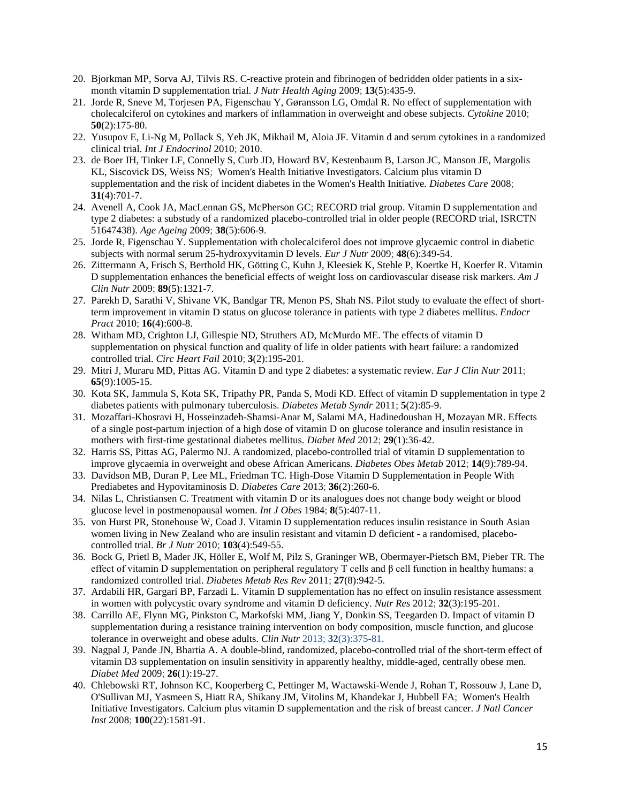- 20. Bjorkman MP, Sorva AJ, Tilvis RS. C-reactive protein and fibrinogen of bedridden older patients in a sixmonth vitamin D supplementation trial. *J Nutr Health Aging* 2009; **13**(5):435-9.
- 21. Jorde R, Sneve M, Torjesen PA, Figenschau Y, Gøransson LG, Omdal R. No effect of supplementation with cholecalciferol on cytokines and markers of inflammation in overweight and obese subjects. *Cytokine* 2010; **50**(2):175-80.
- 22. Yusupov E, Li-Ng M, Pollack S, Yeh JK, Mikhail M, Aloia JF. Vitamin d and serum cytokines in a randomized clinical trial. *Int J Endocrinol* 2010; 2010.
- 23. de Boer IH, Tinker LF, Connelly S, Curb JD, Howard BV, Kestenbaum B, Larson JC, Manson JE, Margolis KL, Siscovick DS, Weiss NS; Women's Health Initiative Investigators. Calcium plus vitamin D supplementation and the risk of incident diabetes in the Women's Health Initiative. *Diabetes Care* 2008; **31**(4):701-7.
- 24. Avenell A, Cook JA, MacLennan GS, McPherson GC; RECORD trial group. Vitamin D supplementation and type 2 diabetes: a substudy of a randomized placebo-controlled trial in older people (RECORD trial, ISRCTN 51647438). *Age Ageing* 2009; **38**(5):606-9.
- 25. Jorde R, Figenschau Y. Supplementation with cholecalciferol does not improve glycaemic control in diabetic subjects with normal serum 25-hydroxyvitamin D levels. *Eur J Nutr* 2009; **48**(6):349-54.
- 26. Zittermann A, Frisch S, Berthold HK, Götting C, Kuhn J, Kleesiek K, Stehle P, Koertke H, Koerfer R. Vitamin D supplementation enhances the beneficial effects of weight loss on cardiovascular disease risk markers. *Am J Clin Nutr* 2009; **89**(5):1321-7.
- 27. Parekh D, Sarathi V, Shivane VK, Bandgar TR, Menon PS, Shah NS. Pilot study to evaluate the effect of shortterm improvement in vitamin D status on glucose tolerance in patients with type 2 diabetes mellitus. *Endocr Pract* 2010; **16**(4):600-8.
- 28. Witham MD, Crighton LJ, Gillespie ND, Struthers AD, McMurdo ME. The effects of vitamin D supplementation on physical function and quality of life in older patients with heart failure: a randomized controlled trial. *Circ Heart Fail* 2010; **3**(2):195-201.
- 29. Mitri J, Muraru MD, Pittas AG. Vitamin D and type 2 diabetes: a systematic review. *Eur J Clin Nutr* 2011; **65**(9):1005-15.
- 30. Kota SK, Jammula S, Kota SK, Tripathy PR, Panda S, Modi KD. Effect of vitamin D supplementation in type 2 diabetes patients with pulmonary tuberculosis. *Diabetes Metab Syndr* 2011; **5**(2):85-9.
- 31. Mozaffari-Khosravi H, Hosseinzadeh-Shamsi-Anar M, Salami MA, Hadinedoushan H, Mozayan MR. Effects of a single post-partum injection of a high dose of vitamin D on glucose tolerance and insulin resistance in mothers with first-time gestational diabetes mellitus. *Diabet Med* 2012; **29**(1):36-42.
- 32. Harris SS, Pittas AG, Palermo NJ. A randomized, placebo-controlled trial of vitamin D supplementation to improve glycaemia in overweight and obese African Americans. *Diabetes Obes Metab* 2012; **14**(9):789-94.
- 33. Davidson MB, Duran P, Lee ML, Friedman TC. High-Dose Vitamin D Supplementation in People With Prediabetes and Hypovitaminosis D. *Diabetes Care* 2013; **36**(2):260-6.
- 34. Nilas L, Christiansen C. Treatment with vitamin D or its analogues does not change body weight or blood glucose level in postmenopausal women. *Int J Obes* 1984; **8**(5):407-11.
- 35. von Hurst PR, Stonehouse W, Coad J. Vitamin D supplementation reduces insulin resistance in South Asian women living in New Zealand who are insulin resistant and vitamin D deficient - a randomised, placebocontrolled trial. *Br J Nutr* 2010; **103**(4):549-55.
- 36. Bock G, Prietl B, Mader JK, Höller E, Wolf M, Pilz S, Graninger WB, Obermayer-Pietsch BM, Pieber TR. The effect of vitamin D supplementation on peripheral regulatory T cells and β cell function in healthy humans: a randomized controlled trial. *Diabetes Metab Res Rev* 2011; **27**(8):942-5.
- 37. Ardabili HR, Gargari BP, Farzadi L. Vitamin D supplementation has no effect on insulin resistance assessment in women with polycystic ovary syndrome and vitamin D deficiency. *Nutr Res* 2012; **32**(3):195-201.
- 38. Carrillo AE, Flynn MG, Pinkston C, Markofski MM, Jiang Y, Donkin SS, Teegarden D. Impact of vitamin D supplementation during a resistance training intervention on body composition, muscle function, and glucose tolerance in overweight and obese adults. *Clin Nutr* 2013; **32**(3):375-81.
- 39. Nagpal J, Pande JN, Bhartia A. A double-blind, randomized, placebo-controlled trial of the short-term effect of vitamin D3 supplementation on insulin sensitivity in apparently healthy, middle-aged, centrally obese men. *Diabet Med* 2009; **26**(1):19-27.
- 40. Chlebowski RT, Johnson KC, Kooperberg C, Pettinger M, Wactawski-Wende J, Rohan T, Rossouw J, Lane D, O'Sullivan MJ, Yasmeen S, Hiatt RA, Shikany JM, Vitolins M, Khandekar J, Hubbell FA; Women's Health Initiative Investigators. Calcium plus vitamin D supplementation and the risk of breast cancer. *J Natl Cancer Inst* 2008; **100**(22):1581-91.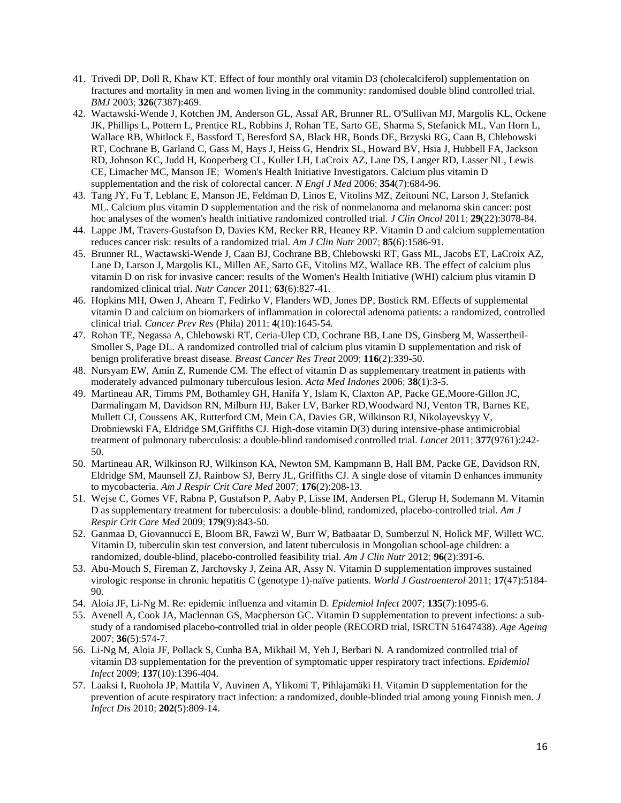- 41. Trivedi DP, Doll R, Khaw KT. Effect of four monthly oral vitamin D3 (cholecalciferol) supplementation on fractures and mortality in men and women living in the community: randomised double blind controlled trial. *BMJ* 2003; **326**(7387):469.
- 42. Wactawski-Wende J, Kotchen JM, Anderson GL, Assaf AR, Brunner RL, O'Sullivan MJ, Margolis KL, Ockene JK, Phillips L, Pottern L, Prentice RL, Robbins J, Rohan TE, Sarto GE, Sharma S, Stefanick ML, Van Horn L, Wallace RB, Whitlock E, Bassford T, Beresford SA, Black HR, Bonds DE, Brzyski RG, Caan B, Chlebowski RT, Cochrane B, Garland C, Gass M, Hays J, Heiss G, Hendrix SL, Howard BV, Hsia J, Hubbell FA, Jackson RD, Johnson KC, Judd H, Kooperberg CL, Kuller LH, LaCroix AZ, Lane DS, Langer RD, Lasser NL, Lewis CE, Limacher MC, Manson JE; Women's Health Initiative Investigators. Calcium plus vitamin D supplementation and the risk of colorectal cancer. *N Engl J Med* 2006; **354**(7):684-96.
- 43. Tang JY, Fu T, Leblanc E, Manson JE, Feldman D, Linos E, Vitolins MZ, Zeitouni NC, Larson J, Stefanick ML. Calcium plus vitamin D supplementation and the risk of nonmelanoma and melanoma skin cancer: post hoc analyses of the women's health initiative randomized controlled trial. *J Clin Oncol* 2011; **29**(22):3078-84.
- 44. Lappe JM, Travers-Gustafson D, Davies KM, Recker RR, Heaney RP. Vitamin D and calcium supplementation reduces cancer risk: results of a randomized trial. *Am J Clin Nutr* 2007; **85**(6):1586-91.
- 45. Brunner RL, Wactawski-Wende J, Caan BJ, Cochrane BB, Chlebowski RT, Gass ML, Jacobs ET, LaCroix AZ, Lane D, Larson J, Margolis KL, Millen AE, Sarto GE, Vitolins MZ, Wallace RB. The effect of calcium plus vitamin D on risk for invasive cancer: results of the Women's Health Initiative (WHI) calcium plus vitamin D randomized clinical trial. *Nutr Cancer* 2011; **63**(6):827-41.
- 46. Hopkins MH, Owen J, Ahearn T, Fedirko V, Flanders WD, Jones DP, Bostick RM. Effects of supplemental vitamin D and calcium on biomarkers of inflammation in colorectal adenoma patients: a randomized, controlled clinical trial. *Cancer Prev Res* (Phila) 2011; **4**(10):1645-54.
- 47. Rohan TE, Negassa A, Chlebowski RT, Ceria-Ulep CD, Cochrane BB, Lane DS, Ginsberg M, Wassertheil-Smoller S, Page DL. A randomized controlled trial of calcium plus vitamin D supplementation and risk of benign proliferative breast disease. *Breast Cancer Res Treat* 2009; **116**(2):339-50.
- 48. Nursyam EW, Amin Z, Rumende CM. The effect of vitamin D as supplementary treatment in patients with moderately advanced pulmonary tuberculous lesion. *Acta Med Indones* 2006; **38**(1):3-5.
- 49. Martineau AR, Timms PM, Bothamley GH, Hanifa Y, Islam K, Claxton AP, Packe GE,Moore-Gillon JC, Darmalingam M, Davidson RN, Milburn HJ, Baker LV, Barker RD,Woodward NJ, Venton TR, Barnes KE, Mullett CJ, Coussens AK, Rutterford CM, Mein CA, Davies GR, Wilkinson RJ, Nikolayevskyy V, Drobniewski FA, Eldridge SM,Griffiths CJ. High-dose vitamin D(3) during intensive-phase antimicrobial treatment of pulmonary tuberculosis: a double-blind randomised controlled trial. *Lancet* 2011; **377**(9761):242- 50.
- 50. Martineau AR, Wilkinson RJ, Wilkinson KA, Newton SM, Kampmann B, Hall BM, Packe GE, Davidson RN, Eldridge SM, Maunsell ZJ, Rainbow SJ, Berry JL, Griffiths CJ. A single dose of vitamin D enhances immunity to mycobacteria. *Am J Respir Crit Care Med* 2007; **176**(2):208-13.
- 51. Wejse C, Gomes VF, Rabna P, Gustafson P, Aaby P, Lisse IM, Andersen PL, Glerup H, Sodemann M. Vitamin D as supplementary treatment for tuberculosis: a double-blind, randomized, placebo-controlled trial. *Am J Respir Crit Care Med* 2009; **179**(9):843-50.
- 52. Ganmaa D, Giovannucci E, Bloom BR, Fawzi W, Burr W, Batbaatar D, Sumberzul N, Holick MF, Willett WC. Vitamin D, tuberculin skin test conversion, and latent tuberculosis in Mongolian school-age children: a randomized, double-blind, placebo-controlled feasibility trial. *Am J Clin Nutr* 2012; **96**(2):391-6.
- 53. Abu-Mouch S, Fireman Z, Jarchovsky J, Zeina AR, Assy N. Vitamin D supplementation improves sustained virologic response in chronic hepatitis C (genotype 1)-naïve patients. *World J Gastroenterol* 2011; **17**(47):5184- 90.
- 54. Aloia JF, Li-Ng M. Re: epidemic influenza and vitamin D. *Epidemiol Infect* 2007; **135**(7):1095-6.
- 55. Avenell A, Cook JA, Maclennan GS, Macpherson GC. Vitamin D supplementation to prevent infections: a substudy of a randomised placebo-controlled trial in older people (RECORD trial, ISRCTN 51647438). *Age Ageing* 2007; **36**(5):574-7.
- 56. Li-Ng M, Aloia JF, Pollack S, Cunha BA, Mikhail M, Yeh J, Berbari N. A randomized controlled trial of vitamin D3 supplementation for the prevention of symptomatic upper respiratory tract infections. *Epidemiol Infect* 2009; **137**(10):1396-404.
- 57. Laaksi I, Ruohola JP, Mattila V, Auvinen A, Ylikomi T, Pihlajamäki H. Vitamin D supplementation for the prevention of acute respiratory tract infection: a randomized, double-blinded trial among young Finnish men. *J Infect Dis* 2010; **202**(5):809-14.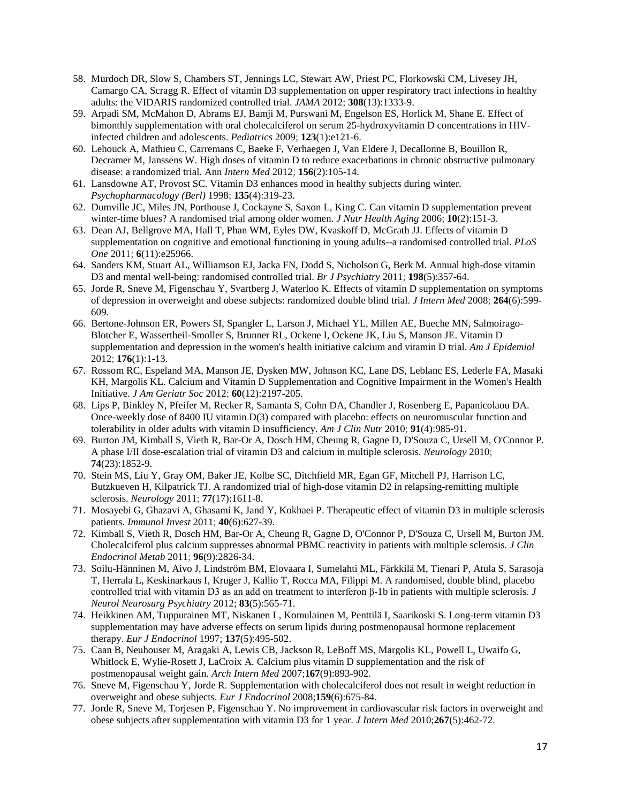- 58. Murdoch DR, Slow S, Chambers ST, Jennings LC, Stewart AW, Priest PC, Florkowski CM, Livesey JH, Camargo CA, Scragg R. Effect of vitamin D3 supplementation on upper respiratory tract infections in healthy adults: the VIDARIS randomized controlled trial. *JAMA* 2012; **308**(13):1333-9.
- 59. Arpadi SM, McMahon D, Abrams EJ, Bamji M, Purswani M, Engelson ES, Horlick M, Shane E. Effect of bimonthly supplementation with oral cholecalciferol on serum 25-hydroxyvitamin D concentrations in HIVinfected children and adolescents. *Pediatrics* 2009; **123**(1):e121-6.
- 60. Lehouck A, Mathieu C, Carremans C, Baeke F, Verhaegen J, Van Eldere J, Decallonne B, Bouillon R, Decramer M, Janssens W. High doses of vitamin D to reduce exacerbations in chronic obstructive pulmonary disease: a randomized trial. Ann *Intern Med* 2012; **156**(2):105-14.
- 61. Lansdowne AT, Provost SC. Vitamin D3 enhances mood in healthy subjects during winter. *Psychopharmacology (Berl)* 1998; **135**(4):319-23.
- 62. Dumville JC, Miles JN, Porthouse J, Cockayne S, Saxon L, King C. Can vitamin D supplementation prevent winter-time blues? A randomised trial among older women. *J Nutr Health Aging* 2006; **10**(2):151-3.
- 63. Dean AJ, Bellgrove MA, Hall T, Phan WM, Eyles DW, Kvaskoff D, McGrath JJ. Effects of vitamin D supplementation on cognitive and emotional functioning in young adults--a randomised controlled trial. *PLoS One* 2011; **6**(11):e25966.
- 64. Sanders KM, Stuart AL, Williamson EJ, Jacka FN, Dodd S, Nicholson G, Berk M. Annual high-dose vitamin D3 and mental well-being: randomised controlled trial. *Br J Psychiatry* 2011; **198**(5):357-64.
- 65. Jorde R, Sneve M, Figenschau Y, Svartberg J, Waterloo K. Effects of vitamin D supplementation on symptoms of depression in overweight and obese subjects: randomized double blind trial. *J Intern Med* 2008; **264**(6):599- 609.
- 66. Bertone-Johnson ER, Powers SI, Spangler L, Larson J, Michael YL, Millen AE, Bueche MN, Salmoirago-Blotcher E, Wassertheil-Smoller S, Brunner RL, Ockene I, Ockene JK, Liu S, Manson JE. Vitamin D supplementation and depression in the women's health initiative calcium and vitamin D trial. *Am J Epidemiol* 2012; **176**(1):1-13.
- 67. Rossom RC, Espeland MA, Manson JE, Dysken MW, Johnson KC, Lane DS, Leblanc ES, Lederle FA, Masaki KH, Margolis KL. Calcium and Vitamin D Supplementation and Cognitive Impairment in the Women's Health Initiative. *J Am Geriatr Soc* 2012; **60**(12):2197-205.
- 68. Lips P, Binkley N, Pfeifer M, Recker R, Samanta S, Cohn DA, Chandler J, Rosenberg E, Papanicolaou DA. Once-weekly dose of 8400 IU vitamin D(3) compared with placebo: effects on neuromuscular function and tolerability in older adults with vitamin D insufficiency. *Am J Clin Nutr* 2010; **91**(4):985-91.
- 69. Burton JM, Kimball S, Vieth R, Bar-Or A, Dosch HM, Cheung R, Gagne D, D'Souza C, Ursell M, O'Connor P. A phase I/II dose-escalation trial of vitamin D3 and calcium in multiple sclerosis. *Neurology* 2010; **74**(23):1852-9.
- 70. Stein MS, Liu Y, Gray OM, Baker JE, Kolbe SC, Ditchfield MR, Egan GF, Mitchell PJ, Harrison LC, Butzkueven H, Kilpatrick TJ. A randomized trial of high-dose vitamin D2 in relapsing-remitting multiple sclerosis. *Neurology* 2011; **77**(17):1611-8.
- 71. Mosayebi G, Ghazavi A, Ghasami K, Jand Y, Kokhaei P. Therapeutic effect of vitamin D3 in multiple sclerosis patients. *Immunol Invest* 2011; **40**(6):627-39.
- 72. Kimball S, Vieth R, Dosch HM, Bar-Or A, Cheung R, Gagne D, O'Connor P, D'Souza C, Ursell M, Burton JM. Cholecalciferol plus calcium suppresses abnormal PBMC reactivity in patients with multiple sclerosis. *J Clin Endocrinol Metab* 2011; **96**(9):2826-34.
- 73. Soilu-Hänninen M, Aivo J, Lindström BM, Elovaara I, Sumelahti ML, Färkkilä M, Tienari P, Atula S, Sarasoja T, Herrala L, Keskinarkaus I, Kruger J, Kallio T, Rocca MA, Filippi M. A randomised, double blind, placebo controlled trial with vitamin D3 as an add on treatment to interferon β-1b in patients with multiple sclerosis. *J Neurol Neurosurg Psychiatry* 2012; **83**(5):565-71.
- 74. Heikkinen AM, Tuppurainen MT, Niskanen L, Komulainen M, Penttilä I, Saarikoski S. Long-term vitamin D3 supplementation may have adverse effects on serum lipids during postmenopausal hormone replacement therapy. *Eur J Endocrinol* 1997; **137**(5):495-502.
- 75. Caan B, Neuhouser M, Aragaki A, Lewis CB, Jackson R, LeBoff MS, Margolis KL, Powell L, Uwaifo G, Whitlock E, Wylie-Rosett J, LaCroix A. Calcium plus vitamin D supplementation and the risk of postmenopausal weight gain. *Arch Intern Med* 2007;**167**(9):893-902.
- 76. Sneve M, Figenschau Y, Jorde R. Supplementation with cholecalciferol does not result in weight reduction in overweight and obese subjects. *Eur J Endocrinol* 2008;**159**(6):675-84.
- 77. Jorde R, Sneve M, Torjesen P, Figenschau Y. No improvement in cardiovascular risk factors in overweight and obese subjects after supplementation with vitamin D3 for 1 year. *J Intern Med* 2010;**267**(5):462-72.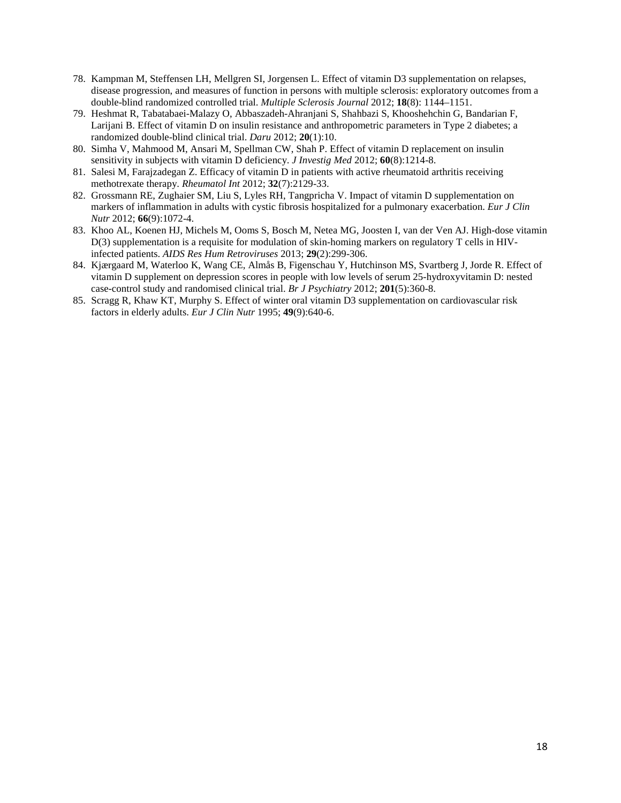- 78. Kampman M, Steffensen LH, Mellgren SI, Jorgensen L. Effect of vitamin D3 supplementation on relapses, disease progression, and measures of function in persons with multiple sclerosis: exploratory outcomes from a double-blind randomized controlled trial. *Multiple Sclerosis Journal* 2012; **18**(8): 1144–1151.
- 79. Heshmat R, Tabatabaei-Malazy O, Abbaszadeh-Ahranjani S, Shahbazi S, Khooshehchin G, Bandarian F, Larijani B. Effect of vitamin D on insulin resistance and anthropometric parameters in Type 2 diabetes; a randomized double-blind clinical trial. *Daru* 2012; **20**(1):10.
- 80. Simha V, Mahmood M, Ansari M, Spellman CW, Shah P. Effect of vitamin D replacement on insulin sensitivity in subjects with vitamin D deficiency. *J Investig Med* 2012; **60**(8):1214-8.
- 81. Salesi M, Farajzadegan Z. Efficacy of vitamin D in patients with active rheumatoid arthritis receiving methotrexate therapy. *Rheumatol Int* 2012; **32**(7):2129-33.
- 82. Grossmann RE, Zughaier SM, Liu S, Lyles RH, Tangpricha V. Impact of vitamin D supplementation on markers of inflammation in adults with cystic fibrosis hospitalized for a pulmonary exacerbation. *Eur J Clin Nutr* 2012; **66**(9):1072-4.
- 83. Khoo AL, Koenen HJ, Michels M, Ooms S, Bosch M, Netea MG, Joosten I, van der Ven AJ. High-dose vitamin D(3) supplementation is a requisite for modulation of skin-homing markers on regulatory T cells in HIVinfected patients. *AIDS Res Hum Retroviruses* 2013; **29**(2):299-306.
- 84. Kjærgaard M, Waterloo K, Wang CE, Almås B, Figenschau Y, Hutchinson MS, Svartberg J, Jorde R. Effect of vitamin D supplement on depression scores in people with low levels of serum 25-hydroxyvitamin D: nested case-control study and randomised clinical trial. *Br J Psychiatry* 2012; **201**(5):360-8.
- 85. Scragg R, Khaw KT, Murphy S. Effect of winter oral vitamin D3 supplementation on cardiovascular risk factors in elderly adults. *Eur J Clin Nutr* 1995; **49**(9):640-6.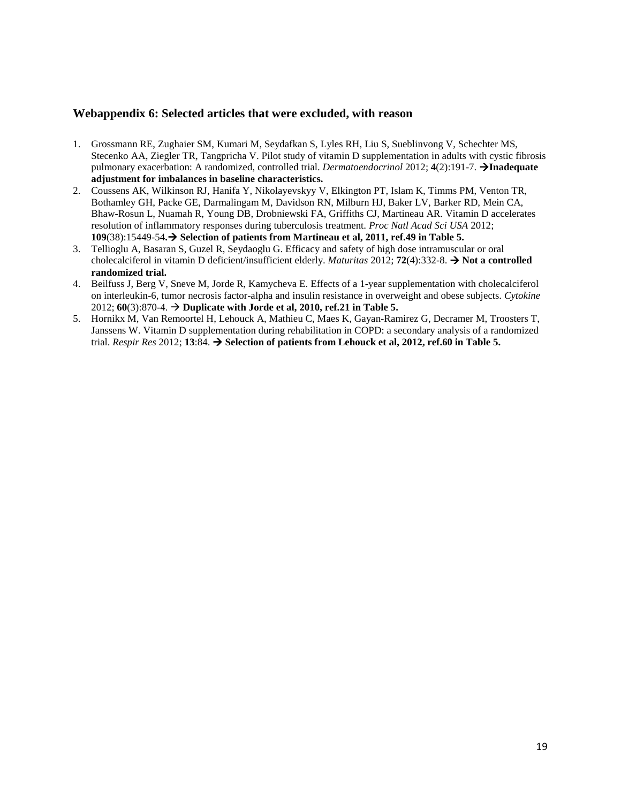# **Webappendix 6: Selected articles that were excluded, with reason**

- 1. Grossmann RE, Zughaier SM, Kumari M, Seydafkan S, Lyles RH, Liu S, Sueblinvong V, Schechter MS, Stecenko AA, Ziegler TR, Tangpricha V. Pilot study of vitamin D supplementation in adults with cystic fibrosis pulmonary exacerbation: A randomized, controlled trial. *Dermatoendocrinol* 2012; **4**(2):191-7. **Inadequate adjustment for imbalances in baseline characteristics.**
- 2. Coussens AK, Wilkinson RJ, Hanifa Y, Nikolayevskyy V, Elkington PT, Islam K, Timms PM, Venton TR, Bothamley GH, Packe GE, Darmalingam M, Davidson RN, Milburn HJ, Baker LV, Barker RD, Mein CA, Bhaw-Rosun L, Nuamah R, Young DB, Drobniewski FA, Griffiths CJ, Martineau AR. Vitamin D accelerates resolution of inflammatory responses during tuberculosis treatment. *Proc Natl Acad Sci USA* 2012; **109**(38):15449-54**. Selection of patients from Martineau et al, 2011, ref.49 in Table 5.**
- 3. Tellioglu A, Basaran S, Guzel R, Seydaoglu G. Efficacy and safety of high dose intramuscular or oral cholecalciferol in vitamin D deficient/insufficient elderly. *Maturitas* 2012; **72**(4):332-8.  $\rightarrow$  **Not a controlled randomized trial.**
- 4. Beilfuss J, Berg V, Sneve M, Jorde R, Kamycheva E. Effects of a 1-year supplementation with cholecalciferol on interleukin-6, tumor necrosis factor-alpha and insulin resistance in overweight and obese subjects. *Cytokine* 2012; **60**(3):870-4. **Duplicate with Jorde et al, 2010, ref.21 in Table 5.**
- 5. Hornikx M, Van Remoortel H, Lehouck A, Mathieu C, Maes K, Gayan-Ramirez G, Decramer M, Troosters T, Janssens W. Vitamin D supplementation during rehabilitation in COPD: a secondary analysis of a randomized trial. *Respir Res* 2012; **13**:84. **Selection of patients from Lehouck et al, 2012, ref.60 in Table 5.**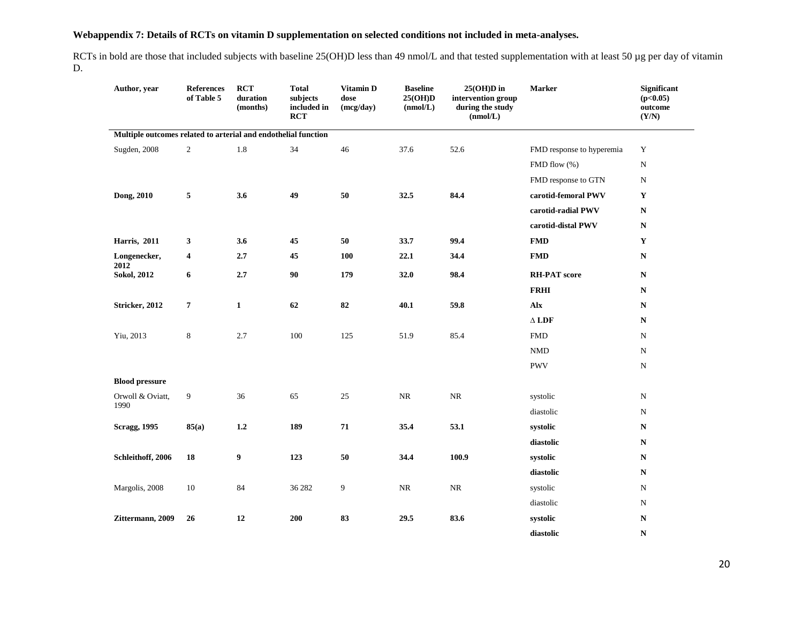# **Webappendix 7: Details of RCTs on vitamin D supplementation on selected conditions not included in meta-analyses.**

RCTs in bold are those that included subjects with baseline 25(OH)D less than 49 nmol/L and that tested supplementation with at least 50 µg per day of vitamin D.

| Author, year                                                   | <b>References</b><br>of Table 5 | <b>RCT</b><br>duration<br>(months) | <b>Total</b><br>subjects<br>included in<br><b>RCT</b> | Vitamin D<br>dose<br>(mcg/day) | <b>Baseline</b><br>25(OH)D<br>(mmol/L) | $25(OH)D$ in<br>intervention group<br>during the study<br>(nmol/L) | <b>Marker</b>             | Significant<br>(p<0.05)<br>outcome<br>(Y/N) |
|----------------------------------------------------------------|---------------------------------|------------------------------------|-------------------------------------------------------|--------------------------------|----------------------------------------|--------------------------------------------------------------------|---------------------------|---------------------------------------------|
| Multiple outcomes related to arterial and endothelial function |                                 |                                    |                                                       |                                |                                        |                                                                    |                           |                                             |
| Sugden, 2008                                                   | $\overline{2}$                  | $1.8\,$                            | 34                                                    | 46                             | 37.6                                   | 52.6                                                               | FMD response to hyperemia | $\mathbf Y$                                 |
|                                                                |                                 |                                    |                                                       |                                |                                        |                                                                    | FMD flow (%)              | ${\bf N}$                                   |
|                                                                |                                 |                                    |                                                       |                                |                                        |                                                                    | FMD response to GTN       | ${\bf N}$                                   |
| Dong, 2010                                                     | 5                               | 3.6                                | 49                                                    | 50                             | 32.5                                   | 84.4                                                               | carotid-femoral PWV       | $\mathbf Y$                                 |
|                                                                |                                 |                                    |                                                       |                                |                                        |                                                                    | carotid-radial PWV        | ${\bf N}$                                   |
|                                                                |                                 |                                    |                                                       |                                |                                        |                                                                    | carotid-distal PWV        | ${\bf N}$                                   |
| Harris, 2011                                                   | $\mathbf{3}$                    | 3.6                                | 45                                                    | 50                             | 33.7                                   | 99.4                                                               | <b>FMD</b>                | $\mathbf Y$                                 |
| Longenecker,                                                   | $\overline{\mathbf{4}}$         | 2.7                                | 45                                                    | <b>100</b>                     | 22.1                                   | 34.4                                                               | <b>FMD</b>                | ${\bf N}$                                   |
| 2012<br><b>Sokol</b> , 2012                                    | 6                               | 2.7                                | 90                                                    | 179                            | 32.0                                   | 98.4                                                               | <b>RH-PAT</b> score       | ${\bf N}$                                   |
|                                                                |                                 |                                    |                                                       |                                |                                        |                                                                    | <b>FRHI</b>               | ${\bf N}$                                   |
| Stricker, 2012                                                 | $\boldsymbol{7}$                | $\mathbf{1}$                       | $\bf 62$                                              | 82                             | 40.1                                   | 59.8                                                               | Alx                       | ${\bf N}$                                   |
|                                                                |                                 |                                    |                                                       |                                |                                        |                                                                    | $\Delta$ LDF              | ${\bf N}$                                   |
| Yiu, 2013                                                      | $\,8\,$                         | 2.7                                | 100                                                   | 125                            | 51.9                                   | 85.4                                                               | <b>FMD</b>                | ${\rm N}$                                   |
|                                                                |                                 |                                    |                                                       |                                |                                        |                                                                    | $\mathop{\rm NMD}$        | ${\rm N}$                                   |
|                                                                |                                 |                                    |                                                       |                                |                                        |                                                                    | <b>PWV</b>                | ${\rm N}$                                   |
| <b>Blood pressure</b>                                          |                                 |                                    |                                                       |                                |                                        |                                                                    |                           |                                             |
| Orwoll & Oviatt,                                               | $\boldsymbol{9}$                | 36                                 | 65                                                    | 25                             | $\rm NR$                               | $\rm NR$                                                           | systolic                  | ${\rm N}$                                   |
| 1990                                                           |                                 |                                    |                                                       |                                |                                        |                                                                    | diastolic                 | ${\rm N}$                                   |
| <b>Scragg, 1995</b>                                            | 85(a)                           | $1.2\,$                            | 189                                                   | ${\bf 71}$                     | 35.4                                   | 53.1                                                               | systolic                  | ${\bf N}$                                   |
|                                                                |                                 |                                    |                                                       |                                |                                        |                                                                    | diastolic                 | ${\bf N}$                                   |
| Schleithoff, 2006                                              | ${\bf 18}$                      | 9                                  | 123                                                   | 50                             | 34.4                                   | 100.9                                                              | systolic                  | ${\bf N}$                                   |
|                                                                |                                 |                                    |                                                       |                                |                                        |                                                                    | diastolic                 | ${\bf N}$                                   |
| Margolis, 2008                                                 | 10                              | 84                                 | 36 28 2                                               | 9                              | $\rm NR$                               | $\rm NR$                                                           | systolic                  | ${\rm N}$                                   |
|                                                                |                                 |                                    |                                                       |                                |                                        |                                                                    | diastolic                 | ${\rm N}$                                   |
| Zittermann, 2009                                               | 26                              | 12                                 | 200                                                   | 83                             | 29.5                                   | 83.6                                                               | systolic                  | ${\bf N}$                                   |
|                                                                |                                 |                                    |                                                       |                                |                                        |                                                                    | diastolic                 | $\mathbf N$                                 |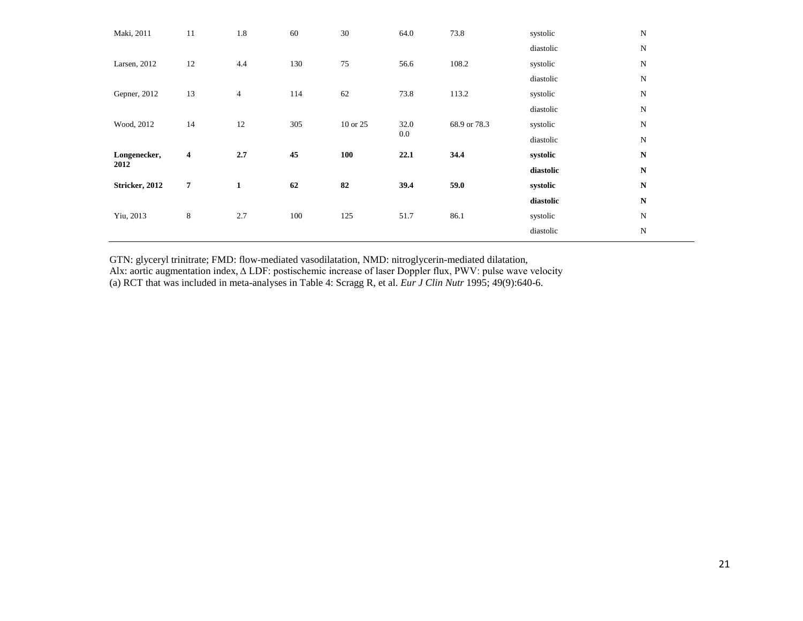| Maki, 2011     | 11                      | 1.8            | 60  | 30       | 64.0    | 73.8         | systolic  | $\mathbf N$ |
|----------------|-------------------------|----------------|-----|----------|---------|--------------|-----------|-------------|
|                |                         |                |     |          |         |              | diastolic | N           |
| Larsen, 2012   | 12                      | 4.4            | 130 | 75       | 56.6    | 108.2        | systolic  | N           |
|                |                         |                |     |          |         |              | diastolic | N           |
| Gepner, 2012   | 13                      | $\overline{4}$ | 114 | 62       | 73.8    | 113.2        | systolic  | ${\bf N}$   |
|                |                         |                |     |          |         |              | diastolic | $\mathbf N$ |
| Wood, 2012     | 14                      | 12             | 305 | 10 or 25 | 32.0    | 68.9 or 78.3 | systolic  | N           |
|                |                         |                |     |          | $0.0\,$ |              | diastolic | ${\bf N}$   |
| Longenecker,   | $\overline{\mathbf{4}}$ | 2.7            | 45  | 100      | 22.1    | 34.4         | systolic  | $\mathbf N$ |
| 2012           |                         |                |     |          |         |              |           |             |
|                |                         |                |     |          |         |              | diastolic | ${\bf N}$   |
| Stricker, 2012 | 7                       | 1              | 62  | 82       | 39.4    | 59.0         | systolic  | ${\bf N}$   |
|                |                         |                |     |          |         |              | diastolic | $\mathbf N$ |
| Yiu, 2013      | $\,8\,$                 | 2.7            | 100 | 125      | 51.7    | 86.1         | systolic  | N           |
|                |                         |                |     |          |         |              | diastolic | N           |

GTN: glyceryl trinitrate; FMD: flow-mediated vasodilatation, NMD: nitroglycerin-mediated dilatation, Alx: aortic augmentation index, ∆ LDF: postischemic increase of laser Doppler flux, PWV: pulse wave velocity (a) RCT that was included in meta-analyses in Table 4: Scragg R, et al. *Eur J Clin Nutr* 1995; 49(9):640-6.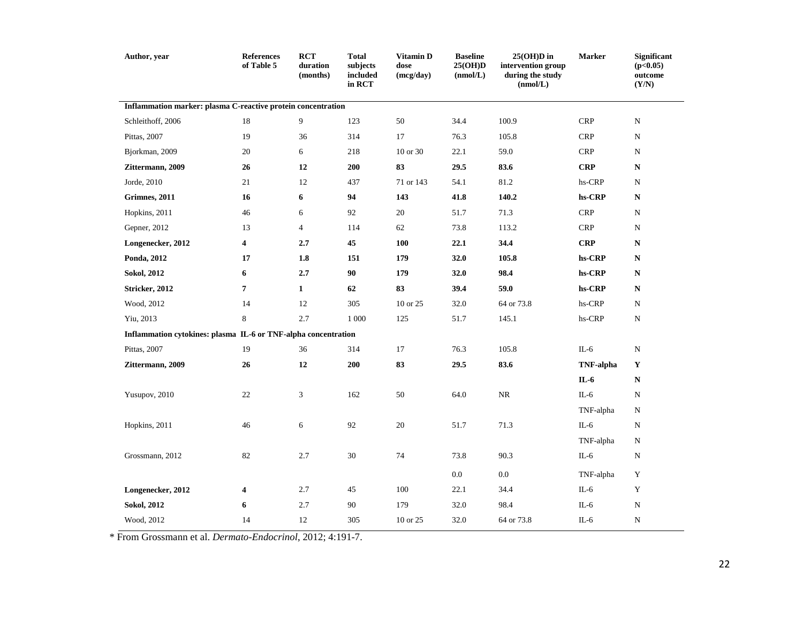| Author, year                                                   | <b>References</b><br>of Table 5 | <b>RCT</b><br>duration<br>(months) | <b>Total</b><br>subjects<br>included<br>in RCT | Vitamin D<br>dose<br>(mcg/day) | <b>Baseline</b><br>25(OH)D<br>(nmol/L) | $25(OH)D$ in<br>intervention group<br>during the study<br>(nmol/L) | <b>Marker</b>    | Significant<br>(p<0.05)<br>outcome<br>(Y/N) |
|----------------------------------------------------------------|---------------------------------|------------------------------------|------------------------------------------------|--------------------------------|----------------------------------------|--------------------------------------------------------------------|------------------|---------------------------------------------|
| Inflammation marker: plasma C-reactive protein concentration   |                                 |                                    |                                                |                                |                                        |                                                                    |                  |                                             |
| Schleithoff, 2006                                              | 18                              | 9                                  | 123                                            | 50                             | 34.4                                   | 100.9                                                              | <b>CRP</b>       | ${\bf N}$                                   |
| Pittas, 2007                                                   | 19                              | 36                                 | 314                                            | 17                             | 76.3                                   | 105.8                                                              | <b>CRP</b>       | N                                           |
| Bjorkman, 2009                                                 | 20                              | 6                                  | 218                                            | 10 or 30                       | 22.1                                   | 59.0                                                               | <b>CRP</b>       | N                                           |
| Zittermann, 2009                                               | 26                              | 12                                 | 200                                            | 83                             | 29.5                                   | 83.6                                                               | <b>CRP</b>       | N                                           |
| Jorde, 2010                                                    | 21                              | 12                                 | 437                                            | 71 or 143                      | 54.1                                   | 81.2                                                               | hs-CRP           | N                                           |
| Grimnes, 2011                                                  | 16                              | 6                                  | 94                                             | 143                            | 41.8                                   | 140.2                                                              | hs-CRP           | N                                           |
| Hopkins, 2011                                                  | 46                              | 6                                  | 92                                             | 20                             | 51.7                                   | 71.3                                                               | <b>CRP</b>       | N                                           |
| Gepner, 2012                                                   | 13                              | $\overline{4}$                     | 114                                            | 62                             | 73.8                                   | 113.2                                                              | <b>CRP</b>       | N                                           |
| Longenecker, 2012                                              | 4                               | 2.7                                | 45                                             | <b>100</b>                     | 22.1                                   | 34.4                                                               | <b>CRP</b>       | N                                           |
| Ponda, 2012                                                    | 17                              | 1.8                                | 151                                            | 179                            | 32.0                                   | 105.8                                                              | hs-CRP           | N                                           |
| Sokol, 2012                                                    | 6                               | 2.7                                | 90                                             | 179                            | 32.0                                   | 98.4                                                               | hs-CRP           | N                                           |
| Stricker, 2012                                                 | $\overline{7}$                  | $\mathbf{1}$                       | 62                                             | 83                             | 39.4                                   | 59.0                                                               | hs-CRP           | N                                           |
| Wood, 2012                                                     | 14                              | 12                                 | 305                                            | 10 or 25                       | 32.0                                   | 64 or 73.8                                                         | hs-CRP           | N                                           |
| Yiu, 2013                                                      | 8                               | 2.7                                | 1 0 0 0                                        | 125                            | 51.7                                   | 145.1                                                              | hs-CRP           | ${\bf N}$                                   |
| Inflammation cytokines: plasma IL-6 or TNF-alpha concentration |                                 |                                    |                                                |                                |                                        |                                                                    |                  |                                             |
| Pittas, 2007                                                   | 19                              | 36                                 | 314                                            | 17                             | 76.3                                   | 105.8                                                              | $IL-6$           | $\mathbf N$                                 |
| Zittermann, 2009                                               | 26                              | 12                                 | 200                                            | 83                             | 29.5                                   | 83.6                                                               | <b>TNF-alpha</b> | Y                                           |
|                                                                |                                 |                                    |                                                |                                |                                        |                                                                    | $IL-6$           | N                                           |
| Yusupov, 2010                                                  | 22                              | 3                                  | 162                                            | 50                             | 64.0                                   | $\rm NR$                                                           | $IL-6$           | $\mathbf N$                                 |
|                                                                |                                 |                                    |                                                |                                |                                        |                                                                    | TNF-alpha        | $\mathbf N$                                 |
| Hopkins, 2011                                                  | 46                              | 6                                  | 92                                             | 20                             | 51.7                                   | 71.3                                                               | $IL-6$           | N                                           |
|                                                                |                                 |                                    |                                                |                                |                                        |                                                                    | TNF-alpha        | N                                           |
| Grossmann, 2012                                                | 82                              | 2.7                                | 30                                             | 74                             | 73.8                                   | 90.3                                                               | $IL-6$           | N                                           |
|                                                                |                                 |                                    |                                                |                                | $0.0\,$                                | $0.0\,$                                                            | TNF-alpha        | Y                                           |
| Longenecker, 2012                                              | 4                               | 2.7                                | 45                                             | 100                            | 22.1                                   | 34.4                                                               | $IL-6$           | Y                                           |
| Sokol, 2012                                                    | 6                               | 2.7                                | 90                                             | 179                            | 32.0                                   | 98.4                                                               | $IL-6$           | ${\bf N}$                                   |
| Wood, 2012                                                     | 14                              | 12                                 | 305                                            | 10 or 25                       | 32.0                                   | 64 or 73.8                                                         | $IL-6$           | ${\bf N}$                                   |

\* From Grossmann et al. *Dermato-Endocrinol*, 2012; 4:191-7.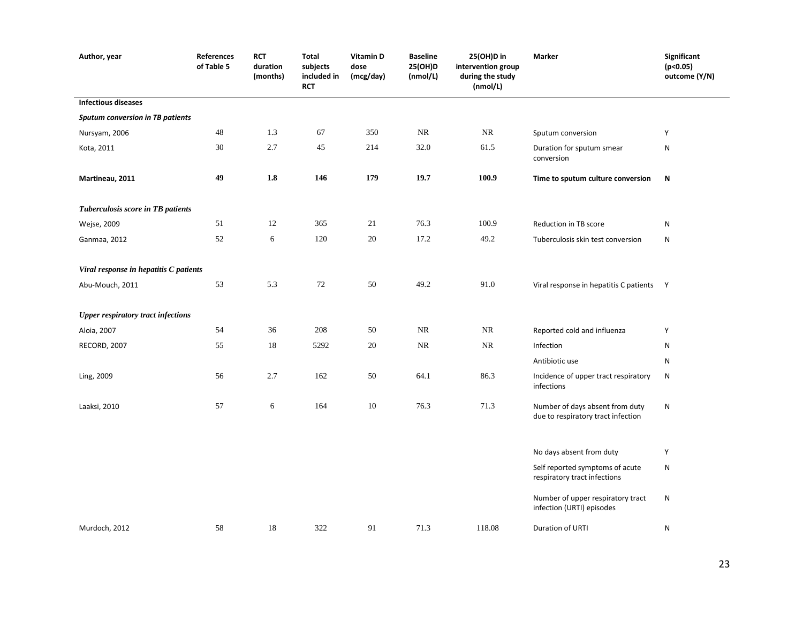| Author, year                              | <b>References</b><br>of Table 5 | <b>RCT</b><br>duration<br>(months) | <b>Total</b><br>subjects<br>included in<br>RCT | Vitamin D<br>dose<br>(mcg/day) | <b>Baseline</b><br>25(OH)D<br>(nmol/L) | 25(OH)D in<br>intervention group<br>during the study<br>(mmol/L) | Marker                                                                | Significant<br>(p<0.05)<br>outcome (Y/N) |
|-------------------------------------------|---------------------------------|------------------------------------|------------------------------------------------|--------------------------------|----------------------------------------|------------------------------------------------------------------|-----------------------------------------------------------------------|------------------------------------------|
| <b>Infectious diseases</b>                |                                 |                                    |                                                |                                |                                        |                                                                  |                                                                       |                                          |
| <b>Sputum conversion in TB patients</b>   |                                 |                                    |                                                |                                |                                        |                                                                  |                                                                       |                                          |
| Nursyam, 2006                             | $48\,$                          | 1.3                                | 67                                             | 350                            | NR                                     | NR                                                               | Sputum conversion                                                     | Y                                        |
| Kota, 2011                                | 30                              | 2.7                                | 45                                             | 214                            | 32.0                                   | 61.5                                                             | Duration for sputum smear<br>conversion                               | ${\sf N}$                                |
| Martineau, 2011                           | 49                              | $1.8\,$                            | 146                                            | 179                            | 19.7                                   | 100.9                                                            | Time to sputum culture conversion                                     | N                                        |
| Tuberculosis score in TB patients         |                                 |                                    |                                                |                                |                                        |                                                                  |                                                                       |                                          |
| Wejse, 2009                               | 51                              | 12                                 | 365                                            | 21                             | 76.3                                   | 100.9                                                            | Reduction in TB score                                                 | N                                        |
| Ganmaa, 2012                              | 52                              | 6                                  | 120                                            | 20                             | 17.2                                   | 49.2                                                             | Tuberculosis skin test conversion                                     | N                                        |
| Viral response in hepatitis C patients    |                                 |                                    |                                                |                                |                                        |                                                                  |                                                                       |                                          |
| Abu-Mouch, 2011                           | 53                              | 5.3                                | $72\,$                                         | 50                             | 49.2                                   | 91.0                                                             | Viral response in hepatitis C patients Y                              |                                          |
| <b>Upper respiratory tract infections</b> |                                 |                                    |                                                |                                |                                        |                                                                  |                                                                       |                                          |
| Aloia, 2007                               | 54                              | 36                                 | 208                                            | 50                             | NR                                     | NR                                                               | Reported cold and influenza                                           | Y                                        |
| RECORD, 2007                              | 55                              | 18                                 | 5292                                           | 20                             | NR                                     | $\rm NR$                                                         | Infection                                                             | N                                        |
|                                           |                                 |                                    |                                                |                                |                                        |                                                                  | Antibiotic use                                                        | N                                        |
| Ling, 2009                                | 56                              | 2.7                                | 162                                            | 50                             | 64.1                                   | 86.3                                                             | Incidence of upper tract respiratory<br>infections                    | ${\sf N}$                                |
| Laaksi, 2010                              | 57                              | 6                                  | 164                                            | $10\,$                         | 76.3                                   | 71.3                                                             | Number of days absent from duty<br>due to respiratory tract infection | ${\sf N}$                                |
|                                           |                                 |                                    |                                                |                                |                                        |                                                                  | No days absent from duty                                              | Y                                        |
|                                           |                                 |                                    |                                                |                                |                                        |                                                                  | Self reported symptoms of acute<br>respiratory tract infections       | N                                        |
|                                           |                                 |                                    |                                                |                                |                                        |                                                                  | Number of upper respiratory tract<br>infection (URTI) episodes        | ${\sf N}$                                |
| Murdoch, 2012                             | 58                              | $18\,$                             | 322                                            | 91                             | 71.3                                   | 118.08                                                           | Duration of URTI                                                      | N                                        |